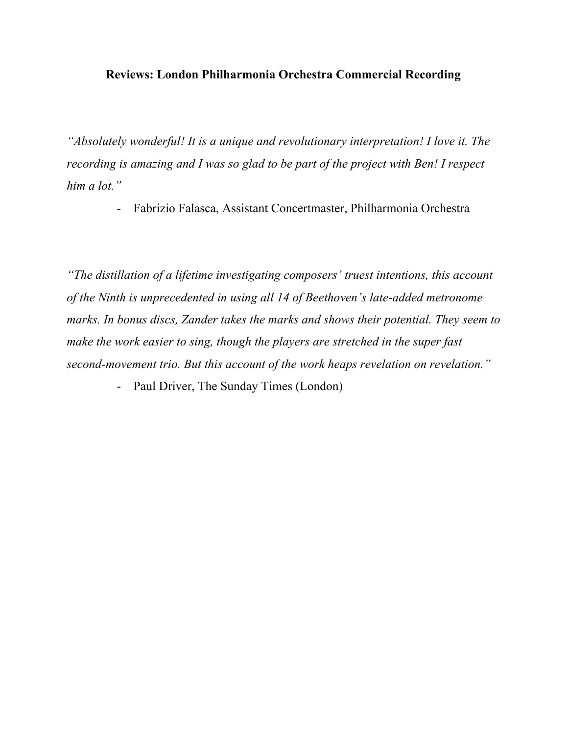# **Reviews: London Philharmonia Orchestra Commercial Recording**

*"Absolutely wonderful! It is a unique and revolutionary interpretation! I love it. The recording is amazing and I was so glad to be part of the project with Ben! I respect him a lot."*

- Fabrizio Falasca, Assistant Concertmaster, Philharmonia Orchestra

*"The distillation of a lifetime investigating composers' truest intentions, this account of the Ninth is unprecedented in using all 14 of Beethoven's late-added metronome marks. In bonus discs, Zander takes the marks and shows their potential. They seem to make the work easier to sing, though the players are stretched in the super fast second-movement trio. But this account of the work heaps revelation on revelation."*

- Paul Driver, The Sunday Times (London)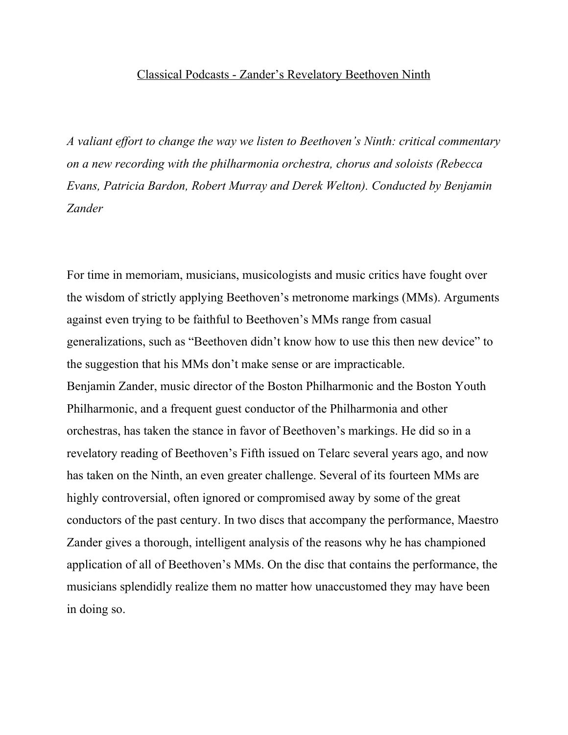## Classical Podcasts - Zander's Revelatory Beethoven Ninth

*A valiant effort to change the way we listen to Beethoven's Ninth: critical commentary on a new recording with the philharmonia orchestra, chorus and soloists (Rebecca Evans, Patricia Bardon, Robert Murray and Derek Welton). Conducted by Benjamin Zander*

For time in memoriam, musicians, musicologists and music critics have fought over the wisdom of strictly applying Beethoven's metronome markings (MMs). Arguments against even trying to be faithful to Beethoven's MMs range from casual generalizations, such as "Beethoven didn't know how to use this then new device" to the suggestion that his MMs don't make sense or are impracticable. Benjamin Zander, music director of the Boston Philharmonic and the Boston Youth Philharmonic, and a frequent guest conductor of the Philharmonia and other orchestras, has taken the stance in favor of Beethoven's markings. He did so in a revelatory reading of Beethoven's Fifth issued on Telarc several years ago, and now has taken on the Ninth, an even greater challenge. Several of its fourteen MMs are highly controversial, often ignored or compromised away by some of the great conductors of the past century. In two discs that accompany the performance, Maestro Zander gives a thorough, intelligent analysis of the reasons why he has championed application of all of Beethoven's MMs. On the disc that contains the performance, the musicians splendidly realize them no matter how unaccustomed they may have been in doing so.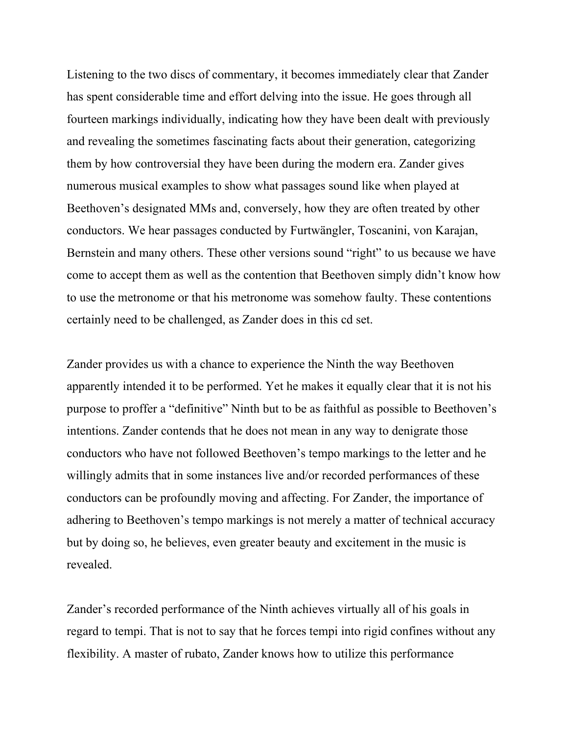Listening to the two discs of commentary, it becomes immediately clear that Zander has spent considerable time and effort delving into the issue. He goes through all fourteen markings individually, indicating how they have been dealt with previously and revealing the sometimes fascinating facts about their generation, categorizing them by how controversial they have been during the modern era. Zander gives numerous musical examples to show what passages sound like when played at Beethoven's designated MMs and, conversely, how they are often treated by other conductors. We hear passages conducted by Furtwängler, Toscanini, von Karajan, Bernstein and many others. These other versions sound "right" to us because we have come to accept them as well as the contention that Beethoven simply didn't know how to use the metronome or that his metronome was somehow faulty. These contentions certainly need to be challenged, as Zander does in this cd set.

Zander provides us with a chance to experience the Ninth the way Beethoven apparently intended it to be performed. Yet he makes it equally clear that it is not his purpose to proffer a "definitive" Ninth but to be as faithful as possible to Beethoven's intentions. Zander contends that he does not mean in any way to denigrate those conductors who have not followed Beethoven's tempo markings to the letter and he willingly admits that in some instances live and/or recorded performances of these conductors can be profoundly moving and affecting. For Zander, the importance of adhering to Beethoven's tempo markings is not merely a matter of technical accuracy but by doing so, he believes, even greater beauty and excitement in the music is revealed.

Zander's recorded performance of the Ninth achieves virtually all of his goals in regard to tempi. That is not to say that he forces tempi into rigid confines without any flexibility. A master of rubato, Zander knows how to utilize this performance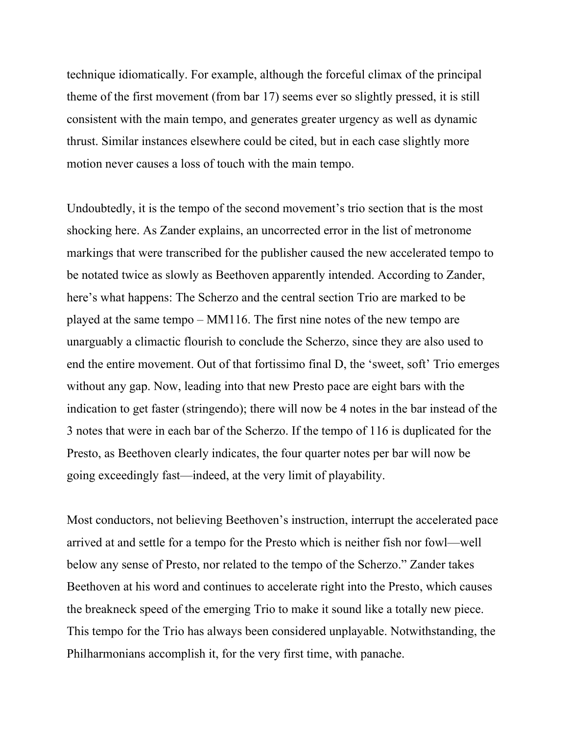technique idiomatically. For example, although the forceful climax of the principal theme of the first movement (from bar 17) seems ever so slightly pressed, it is still consistent with the main tempo, and generates greater urgency as well as dynamic thrust. Similar instances elsewhere could be cited, but in each case slightly more motion never causes a loss of touch with the main tempo.

Undoubtedly, it is the tempo of the second movement's trio section that is the most shocking here. As Zander explains, an uncorrected error in the list of metronome markings that were transcribed for the publisher caused the new accelerated tempo to be notated twice as slowly as Beethoven apparently intended. According to Zander, here's what happens: The Scherzo and the central section Trio are marked to be played at the same tempo – MM116. The first nine notes of the new tempo are unarguably a climactic flourish to conclude the Scherzo, since they are also used to end the entire movement. Out of that fortissimo final D, the 'sweet, soft' Trio emerges without any gap. Now, leading into that new Presto pace are eight bars with the indication to get faster (stringendo); there will now be 4 notes in the bar instead of the 3 notes that were in each bar of the Scherzo. If the tempo of 116 is duplicated for the Presto, as Beethoven clearly indicates, the four quarter notes per bar will now be going exceedingly fast—indeed, at the very limit of playability.

Most conductors, not believing Beethoven's instruction, interrupt the accelerated pace arrived at and settle for a tempo for the Presto which is neither fish nor fowl—well below any sense of Presto, nor related to the tempo of the Scherzo." Zander takes Beethoven at his word and continues to accelerate right into the Presto, which causes the breakneck speed of the emerging Trio to make it sound like a totally new piece. This tempo for the Trio has always been considered unplayable. Notwithstanding, the Philharmonians accomplish it, for the very first time, with panache.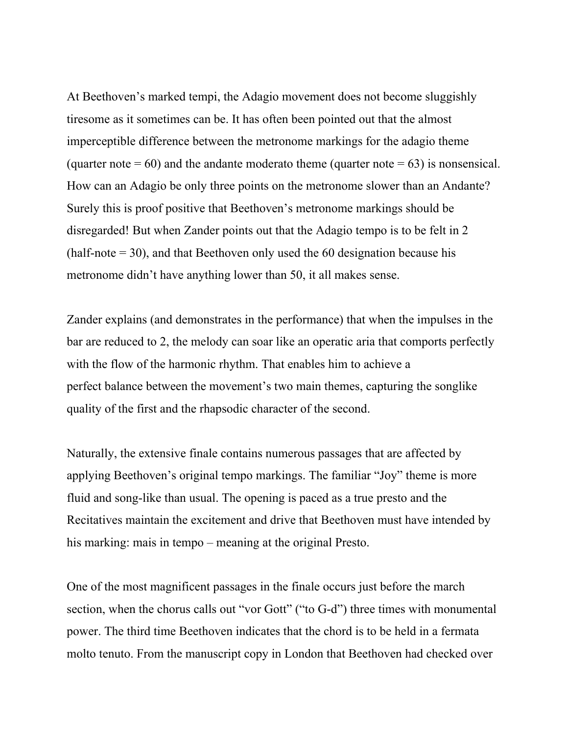At Beethoven's marked tempi, the Adagio movement does not become sluggishly tiresome as it sometimes can be. It has often been pointed out that the almost imperceptible difference between the metronome markings for the adagio theme (quarter note  $= 60$ ) and the andante moderato theme (quarter note  $= 63$ ) is nonsensical. How can an Adagio be only three points on the metronome slower than an Andante? Surely this is proof positive that Beethoven's metronome markings should be disregarded! But when Zander points out that the Adagio tempo is to be felt in 2 (half-note = 30), and that Beethoven only used the 60 designation because his metronome didn't have anything lower than 50, it all makes sense.

Zander explains (and demonstrates in the performance) that when the impulses in the bar are reduced to 2, the melody can soar like an operatic aria that comports perfectly with the flow of the harmonic rhythm. That enables him to achieve a perfect balance between the movement's two main themes, capturing the songlike quality of the first and the rhapsodic character of the second.

Naturally, the extensive finale contains numerous passages that are affected by applying Beethoven's original tempo markings. The familiar "Joy" theme is more fluid and song-like than usual. The opening is paced as a true presto and the Recitatives maintain the excitement and drive that Beethoven must have intended by his marking: mais in tempo – meaning at the original Presto.

One of the most magnificent passages in the finale occurs just before the march section, when the chorus calls out "vor Gott" ("to G-d") three times with monumental power. The third time Beethoven indicates that the chord is to be held in a fermata molto tenuto. From the manuscript copy in London that Beethoven had checked over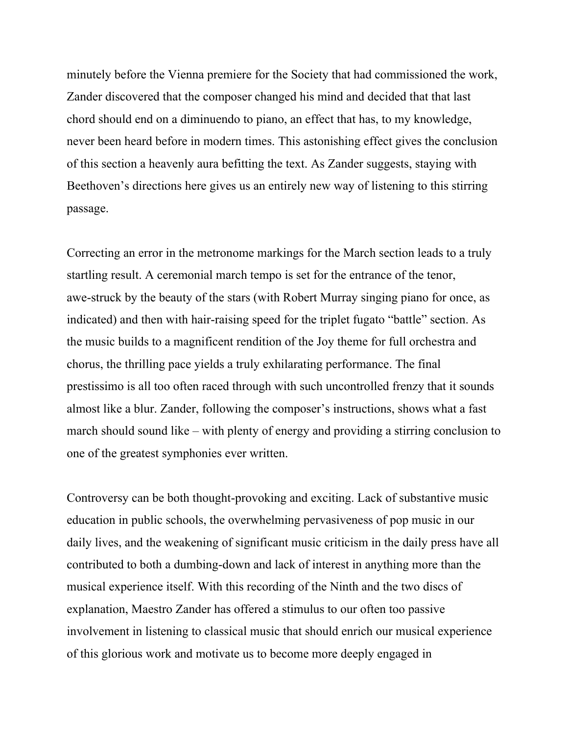minutely before the Vienna premiere for the Society that had commissioned the work, Zander discovered that the composer changed his mind and decided that that last chord should end on a diminuendo to piano, an effect that has, to my knowledge, never been heard before in modern times. This astonishing effect gives the conclusion of this section a heavenly aura befitting the text. As Zander suggests, staying with Beethoven's directions here gives us an entirely new way of listening to this stirring passage.

Correcting an error in the metronome markings for the March section leads to a truly startling result. A ceremonial march tempo is set for the entrance of the tenor, awe-struck by the beauty of the stars (with Robert Murray singing piano for once, as indicated) and then with hair-raising speed for the triplet fugato "battle" section. As the music builds to a magnificent rendition of the Joy theme for full orchestra and chorus, the thrilling pace yields a truly exhilarating performance. The final prestissimo is all too often raced through with such uncontrolled frenzy that it sounds almost like a blur. Zander, following the composer's instructions, shows what a fast march should sound like – with plenty of energy and providing a stirring conclusion to one of the greatest symphonies ever written.

Controversy can be both thought-provoking and exciting. Lack of substantive music education in public schools, the overwhelming pervasiveness of pop music in our daily lives, and the weakening of significant music criticism in the daily press have all contributed to both a dumbing-down and lack of interest in anything more than the musical experience itself. With this recording of the Ninth and the two discs of explanation, Maestro Zander has offered a stimulus to our often too passive involvement in listening to classical music that should enrich our musical experience of this glorious work and motivate us to become more deeply engaged in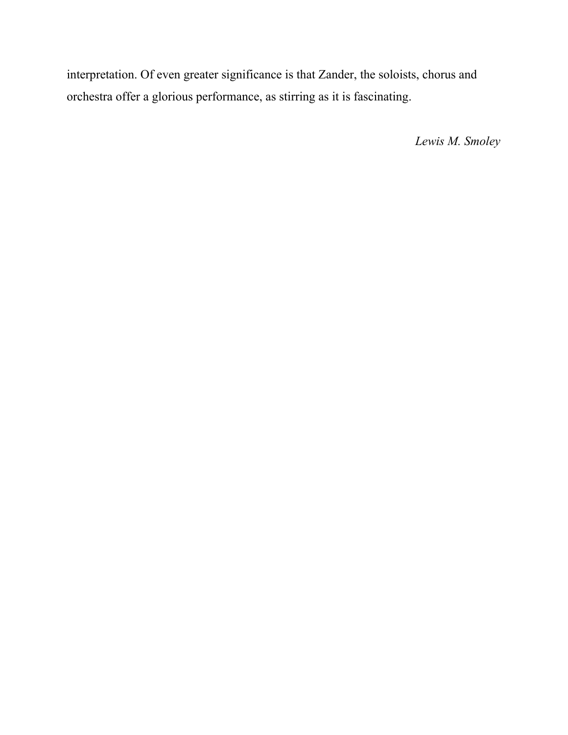interpretation. Of even greater significance is that Zander, the soloists, chorus and orchestra offer a glorious performance, as stirring as it is fascinating.

*Lewis M. Smoley*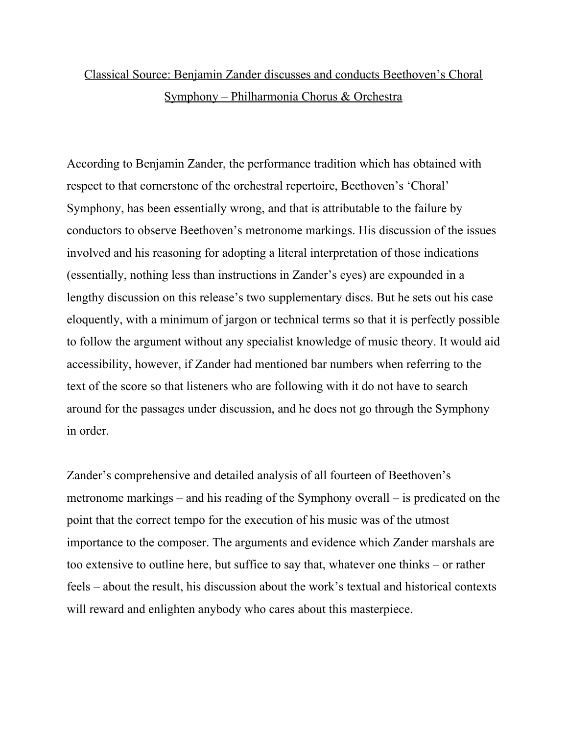# Classical Source: Benjamin Zander discusses and conducts Beethoven's Choral Symphony – Philharmonia Chorus & Orchestra

According to Benjamin Zander, the performance tradition which has obtained with respect to that cornerstone of the orchestral repertoire, Beethoven's 'Choral' Symphony, has been essentially wrong, and that is attributable to the failure by conductors to observe Beethoven's metronome markings. His discussion of the issues involved and his reasoning for adopting a literal interpretation of those indications (essentially, nothing less than instructions in Zander's eyes) are expounded in a lengthy discussion on this release's two supplementary discs. But he sets out his case eloquently, with a minimum of jargon or technical terms so that it is perfectly possible to follow the argument without any specialist knowledge of music theory. It would aid accessibility, however, if Zander had mentioned bar numbers when referring to the text of the score so that listeners who are following with it do not have to search around for the passages under discussion, and he does not go through the Symphony in order.

Zander's comprehensive and detailed analysis of all fourteen of Beethoven's metronome markings – and his reading of the Symphony overall – is predicated on the point that the correct tempo for the execution of his music was of the utmost importance to the composer. The arguments and evidence which Zander marshals are too extensive to outline here, but suffice to say that, whatever one thinks – or rather feels – about the result, his discussion about the work's textual and historical contexts will reward and enlighten anybody who cares about this masterpiece.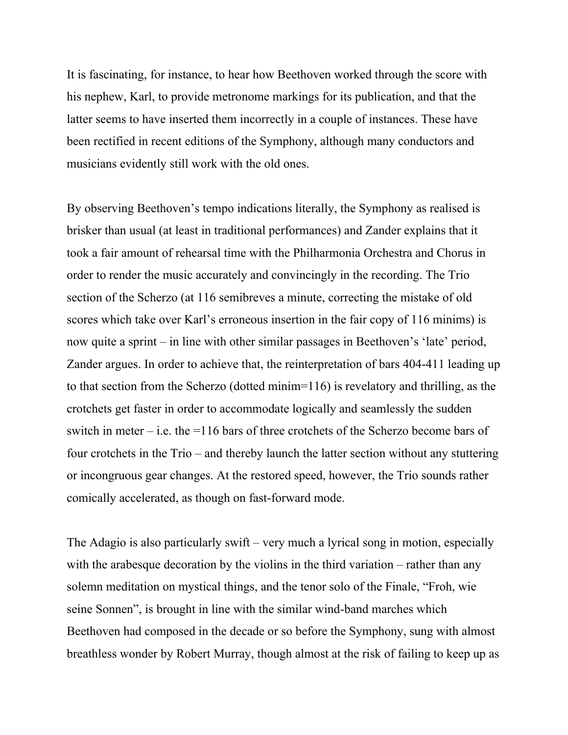It is fascinating, for instance, to hear how Beethoven worked through the score with his nephew, Karl, to provide metronome markings for its publication, and that the latter seems to have inserted them incorrectly in a couple of instances. These have been rectified in recent editions of the Symphony, although many conductors and musicians evidently still work with the old ones.

By observing Beethoven's tempo indications literally, the Symphony as realised is brisker than usual (at least in traditional performances) and Zander explains that it took a fair amount of rehearsal time with the Philharmonia Orchestra and Chorus in order to render the music accurately and convincingly in the recording. The Trio section of the Scherzo (at 116 semibreves a minute, correcting the mistake of old scores which take over Karl's erroneous insertion in the fair copy of 116 minims) is now quite a sprint – in line with other similar passages in Beethoven's 'late' period, Zander argues. In order to achieve that, the reinterpretation of bars 404-411 leading up to that section from the Scherzo (dotted minim=116) is revelatory and thrilling, as the crotchets get faster in order to accommodate logically and seamlessly the sudden switch in meter – i.e. the =116 bars of three crotchets of the Scherzo become bars of four crotchets in the Trio – and thereby launch the latter section without any stuttering or incongruous gear changes. At the restored speed, however, the Trio sounds rather comically accelerated, as though on fast-forward mode.

The Adagio is also particularly swift – very much a lyrical song in motion, especially with the arabesque decoration by the violins in the third variation – rather than any solemn meditation on mystical things, and the tenor solo of the Finale, "Froh, wie seine Sonnen", is brought in line with the similar wind-band marches which Beethoven had composed in the decade or so before the Symphony, sung with almost breathless wonder by Robert Murray, though almost at the risk of failing to keep up as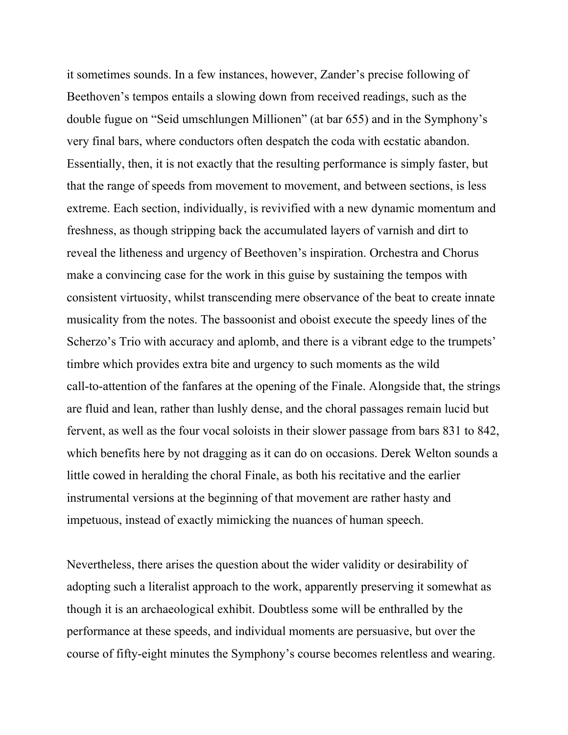it sometimes sounds. In a few instances, however, Zander's precise following of Beethoven's tempos entails a slowing down from received readings, such as the double fugue on "Seid umschlungen Millionen" (at bar 655) and in the Symphony's very final bars, where conductors often despatch the coda with ecstatic abandon. Essentially, then, it is not exactly that the resulting performance is simply faster, but that the range of speeds from movement to movement, and between sections, is less extreme. Each section, individually, is revivified with a new dynamic momentum and freshness, as though stripping back the accumulated layers of varnish and dirt to reveal the litheness and urgency of Beethoven's inspiration. Orchestra and Chorus make a convincing case for the work in this guise by sustaining the tempos with consistent virtuosity, whilst transcending mere observance of the beat to create innate musicality from the notes. The bassoonist and oboist execute the speedy lines of the Scherzo's Trio with accuracy and aplomb, and there is a vibrant edge to the trumpets' timbre which provides extra bite and urgency to such moments as the wild call-to-attention of the fanfares at the opening of the Finale. Alongside that, the strings are fluid and lean, rather than lushly dense, and the choral passages remain lucid but fervent, as well as the four vocal soloists in their slower passage from bars 831 to 842, which benefits here by not dragging as it can do on occasions. Derek Welton sounds a little cowed in heralding the choral Finale, as both his recitative and the earlier instrumental versions at the beginning of that movement are rather hasty and impetuous, instead of exactly mimicking the nuances of human speech.

Nevertheless, there arises the question about the wider validity or desirability of adopting such a literalist approach to the work, apparently preserving it somewhat as though it is an archaeological exhibit. Doubtless some will be enthralled by the performance at these speeds, and individual moments are persuasive, but over the course of fifty-eight minutes the Symphony's course becomes relentless and wearing.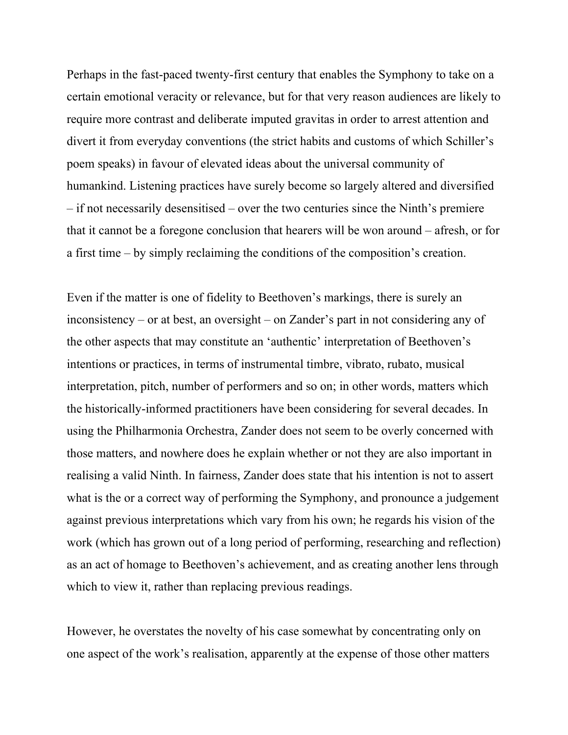Perhaps in the fast-paced twenty-first century that enables the Symphony to take on a certain emotional veracity or relevance, but for that very reason audiences are likely to require more contrast and deliberate imputed gravitas in order to arrest attention and divert it from everyday conventions (the strict habits and customs of which Schiller's poem speaks) in favour of elevated ideas about the universal community of humankind. Listening practices have surely become so largely altered and diversified – if not necessarily desensitised – over the two centuries since the Ninth's premiere that it cannot be a foregone conclusion that hearers will be won around – afresh, or for a first time – by simply reclaiming the conditions of the composition's creation.

Even if the matter is one of fidelity to Beethoven's markings, there is surely an inconsistency – or at best, an oversight – on Zander's part in not considering any of the other aspects that may constitute an 'authentic' interpretation of Beethoven's intentions or practices, in terms of instrumental timbre, vibrato, rubato, musical interpretation, pitch, number of performers and so on; in other words, matters which the historically-informed practitioners have been considering for several decades. In using the Philharmonia Orchestra, Zander does not seem to be overly concerned with those matters, and nowhere does he explain whether or not they are also important in realising a valid Ninth. In fairness, Zander does state that his intention is not to assert what is the or a correct way of performing the Symphony, and pronounce a judgement against previous interpretations which vary from his own; he regards his vision of the work (which has grown out of a long period of performing, researching and reflection) as an act of homage to Beethoven's achievement, and as creating another lens through which to view it, rather than replacing previous readings.

However, he overstates the novelty of his case somewhat by concentrating only on one aspect of the work's realisation, apparently at the expense of those other matters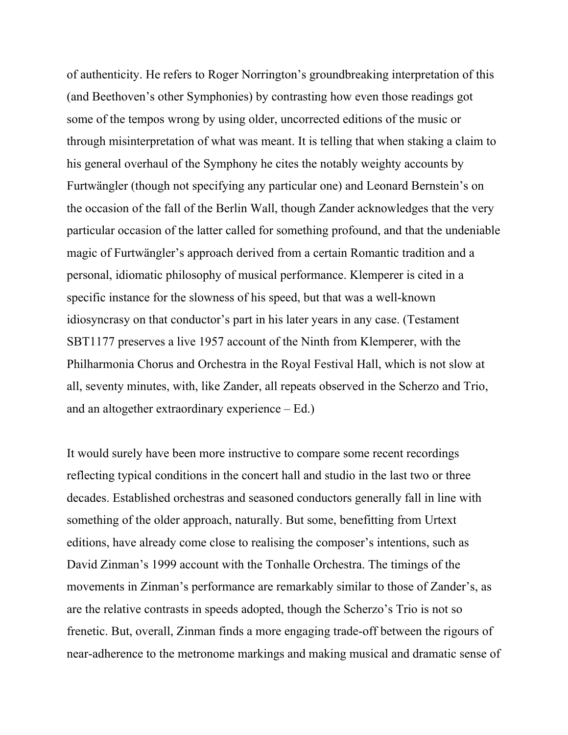of authenticity. He refers to Roger Norrington's groundbreaking interpretation of this (and Beethoven's other Symphonies) by contrasting how even those readings got some of the tempos wrong by using older, uncorrected editions of the music or through misinterpretation of what was meant. It is telling that when staking a claim to his general overhaul of the Symphony he cites the notably weighty accounts by Furtwängler (though not specifying any particular one) and Leonard Bernstein's on the occasion of the fall of the Berlin Wall, though Zander acknowledges that the very particular occasion of the latter called for something profound, and that the undeniable magic of Furtwängler's approach derived from a certain Romantic tradition and a personal, idiomatic philosophy of musical performance. Klemperer is cited in a specific instance for the slowness of his speed, but that was a well-known idiosyncrasy on that conductor's part in his later years in any case. (Testament SBT1177 preserves a live 1957 account of the Ninth from Klemperer, with the Philharmonia Chorus and Orchestra in the Royal Festival Hall, which is not slow at all, seventy minutes, with, like Zander, all repeats observed in the Scherzo and Trio, and an altogether extraordinary experience – Ed.)

It would surely have been more instructive to compare some recent recordings reflecting typical conditions in the concert hall and studio in the last two or three decades. Established orchestras and seasoned conductors generally fall in line with something of the older approach, naturally. But some, benefitting from Urtext editions, have already come close to realising the composer's intentions, such as David Zinman's 1999 account with the Tonhalle Orchestra. The timings of the movements in Zinman's performance are remarkably similar to those of Zander's, as are the relative contrasts in speeds adopted, though the Scherzo's Trio is not so frenetic. But, overall, Zinman finds a more engaging trade-off between the rigours of near-adherence to the metronome markings and making musical and dramatic sense of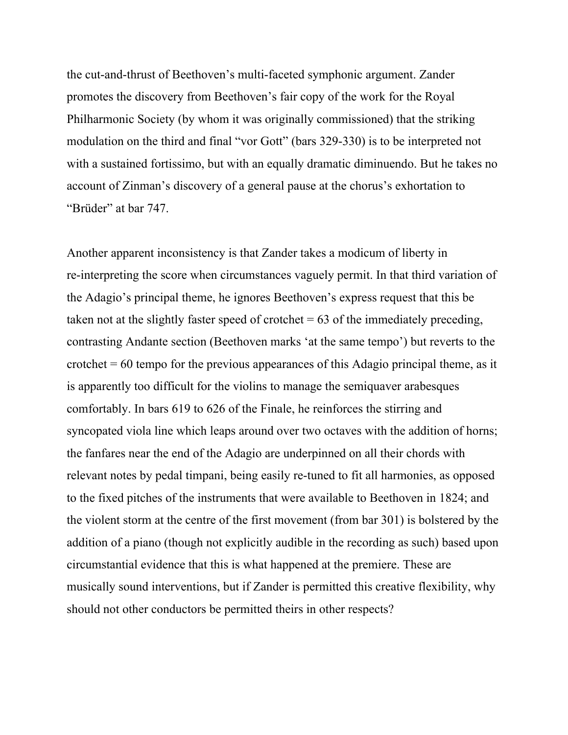the cut-and-thrust of Beethoven's multi-faceted symphonic argument. Zander promotes the discovery from Beethoven's fair copy of the work for the Royal Philharmonic Society (by whom it was originally commissioned) that the striking modulation on the third and final "vor Gott" (bars 329-330) is to be interpreted not with a sustained fortissimo, but with an equally dramatic diminuendo. But he takes no account of Zinman's discovery of a general pause at the chorus's exhortation to "Brüder" at bar 747.

Another apparent inconsistency is that Zander takes a modicum of liberty in re-interpreting the score when circumstances vaguely permit. In that third variation of the Adagio's principal theme, he ignores Beethoven's express request that this be taken not at the slightly faster speed of crotchet  $= 63$  of the immediately preceding, contrasting Andante section (Beethoven marks 'at the same tempo') but reverts to the crotchet = 60 tempo for the previous appearances of this Adagio principal theme, as it is apparently too difficult for the violins to manage the semiquaver arabesques comfortably. In bars 619 to 626 of the Finale, he reinforces the stirring and syncopated viola line which leaps around over two octaves with the addition of horns; the fanfares near the end of the Adagio are underpinned on all their chords with relevant notes by pedal timpani, being easily re-tuned to fit all harmonies, as opposed to the fixed pitches of the instruments that were available to Beethoven in 1824; and the violent storm at the centre of the first movement (from bar 301) is bolstered by the addition of a piano (though not explicitly audible in the recording as such) based upon circumstantial evidence that this is what happened at the premiere. These are musically sound interventions, but if Zander is permitted this creative flexibility, why should not other conductors be permitted theirs in other respects?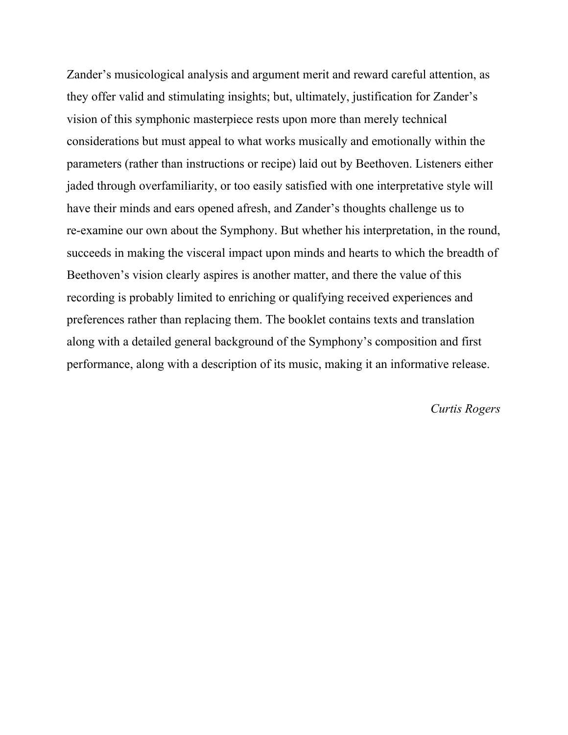Zander's musicological analysis and argument merit and reward careful attention, as they offer valid and stimulating insights; but, ultimately, justification for Zander's vision of this symphonic masterpiece rests upon more than merely technical considerations but must appeal to what works musically and emotionally within the parameters (rather than instructions or recipe) laid out by Beethoven. Listeners either jaded through overfamiliarity, or too easily satisfied with one interpretative style will have their minds and ears opened afresh, and Zander's thoughts challenge us to re-examine our own about the Symphony. But whether his interpretation, in the round, succeeds in making the visceral impact upon minds and hearts to which the breadth of Beethoven's vision clearly aspires is another matter, and there the value of this recording is probably limited to enriching or qualifying received experiences and preferences rather than replacing them. The booklet contains texts and translation along with a detailed general background of the Symphony's composition and first performance, along with a description of its music, making it an informative release.

*Curtis Rogers*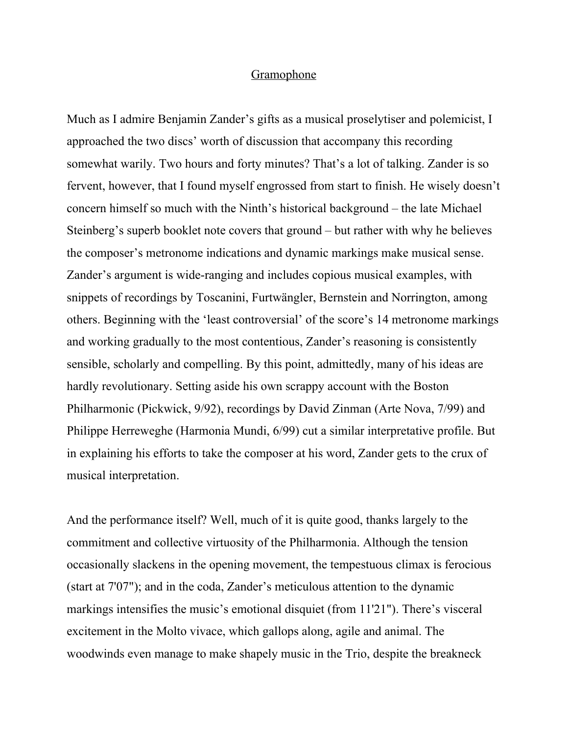### Gramophone

Much as I admire Benjamin Zander's gifts as a musical proselytiser and polemicist, I approached the two discs' worth of discussion that accompany this recording somewhat warily. Two hours and forty minutes? That's a lot of talking. Zander is so fervent, however, that I found myself engrossed from start to finish. He wisely doesn't concern himself so much with the Ninth's historical background – the late Michael Steinberg's superb booklet note covers that ground – but rather with why he believes the composer's metronome indications and dynamic markings make musical sense. Zander's argument is wide-ranging and includes copious musical examples, with snippets of recordings by Toscanini, Furtwängler, Bernstein and Norrington, among others. Beginning with the 'least controversial' of the score's 14 metronome markings and working gradually to the most contentious, Zander's reasoning is consistently sensible, scholarly and compelling. By this point, admittedly, many of his ideas are hardly revolutionary. Setting aside his own scrappy account with the Boston Philharmonic (Pickwick, 9/92), recordings by David Zinman (Arte Nova, 7/99) and Philippe Herreweghe (Harmonia Mundi, 6/99) cut a similar interpretative profile. But in explaining his efforts to take the composer at his word, Zander gets to the crux of musical interpretation.

And the performance itself? Well, much of it is quite good, thanks largely to the commitment and collective virtuosity of the Philharmonia. Although the tension occasionally slackens in the opening movement, the tempestuous climax is ferocious (start at 7'07"); and in the coda, Zander's meticulous attention to the dynamic markings intensifies the music's emotional disquiet (from 11'21"). There's visceral excitement in the Molto vivace, which gallops along, agile and animal. The woodwinds even manage to make shapely music in the Trio, despite the breakneck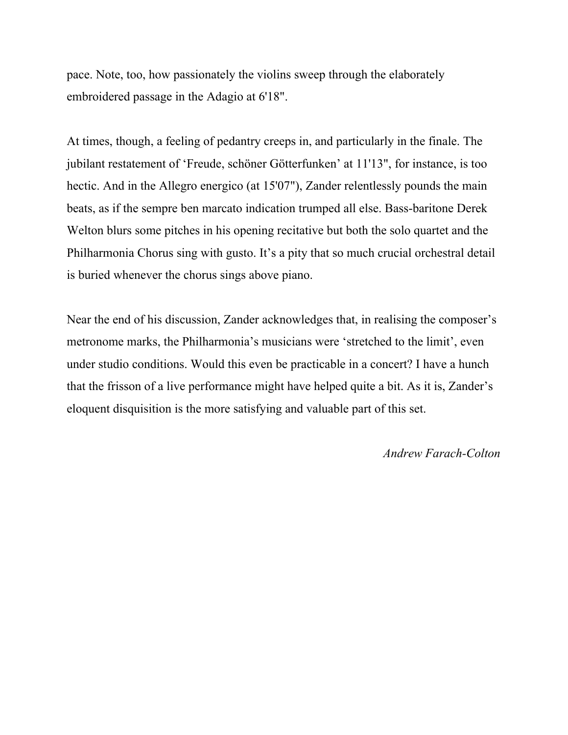pace. Note, too, how passionately the violins sweep through the elaborately embroidered passage in the Adagio at 6'18".

At times, though, a feeling of pedantry creeps in, and particularly in the finale. The jubilant restatement of 'Freude, schöner Götterfunken' at 11'13", for instance, is too hectic. And in the Allegro energico (at 15'07"), Zander relentlessly pounds the main beats, as if the sempre ben marcato indication trumped all else. Bass-baritone Derek Welton blurs some pitches in his opening recitative but both the solo quartet and the Philharmonia Chorus sing with gusto. It's a pity that so much crucial orchestral detail is buried whenever the chorus sings above piano.

Near the end of his discussion, Zander acknowledges that, in realising the composer's metronome marks, the Philharmonia's musicians were 'stretched to the limit', even under studio conditions. Would this even be practicable in a concert? I have a hunch that the frisson of a live performance might have helped quite a bit. As it is, Zander's eloquent disquisition is the more satisfying and valuable part of this set.

*Andrew Farach-Colton*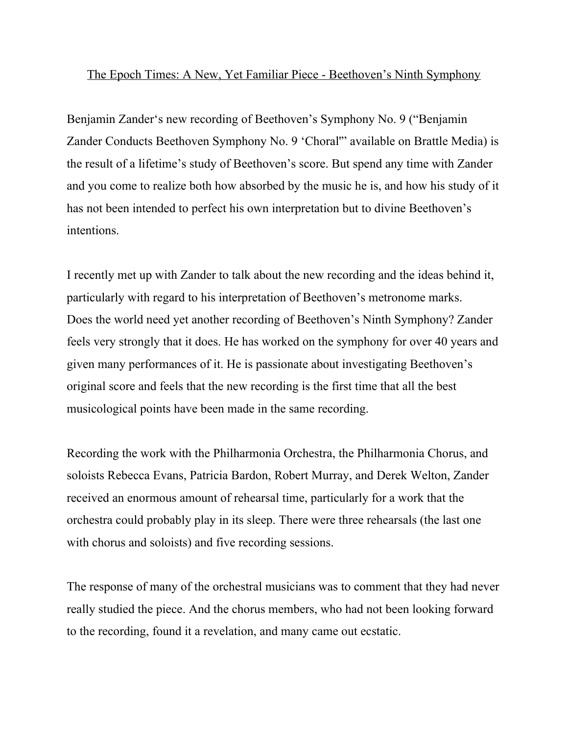The Epoch Times: A New, Yet Familiar Piece - Beethoven's Ninth Symphony

Benjamin Zander's new recording of Beethoven's Symphony No. 9 ("Benjamin Zander Conducts Beethoven Symphony No. 9 'Choral'" available on Brattle Media) is the result of a lifetime's study of Beethoven's score. But spend any time with Zander and you come to realize both how absorbed by the music he is, and how his study of it has not been intended to perfect his own interpretation but to divine Beethoven's intentions.

I recently met up with Zander to talk about the new recording and the ideas behind it, particularly with regard to his interpretation of Beethoven's metronome marks. Does the world need yet another recording of Beethoven's Ninth Symphony? Zander feels very strongly that it does. He has worked on the symphony for over 40 years and given many performances of it. He is passionate about investigating Beethoven's original score and feels that the new recording is the first time that all the best musicological points have been made in the same recording.

Recording the work with the Philharmonia Orchestra, the Philharmonia Chorus, and soloists Rebecca Evans, Patricia Bardon, Robert Murray, and Derek Welton, Zander received an enormous amount of rehearsal time, particularly for a work that the orchestra could probably play in its sleep. There were three rehearsals (the last one with chorus and soloists) and five recording sessions.

The response of many of the orchestral musicians was to comment that they had never really studied the piece. And the chorus members, who had not been looking forward to the recording, found it a revelation, and many came out ecstatic.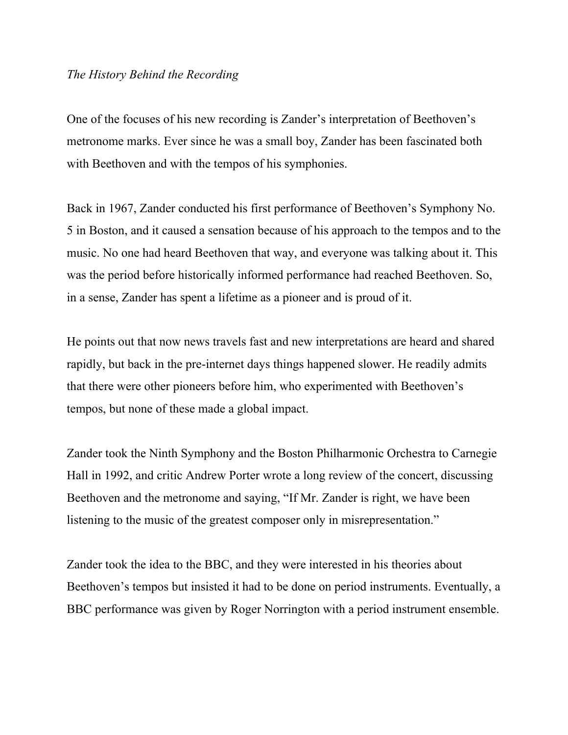## *The History Behind the Recording*

One of the focuses of his new recording is Zander's interpretation of Beethoven's metronome marks. Ever since he was a small boy, Zander has been fascinated both with Beethoven and with the tempos of his symphonies.

Back in 1967, Zander conducted his first performance of Beethoven's Symphony No. 5 in Boston, and it caused a sensation because of his approach to the tempos and to the music. No one had heard Beethoven that way, and everyone was talking about it. This was the period before historically informed performance had reached Beethoven. So, in a sense, Zander has spent a lifetime as a pioneer and is proud of it.

He points out that now news travels fast and new interpretations are heard and shared rapidly, but back in the pre-internet days things happened slower. He readily admits that there were other pioneers before him, who experimented with Beethoven's tempos, but none of these made a global impact.

Zander took the Ninth Symphony and the Boston Philharmonic Orchestra to Carnegie Hall in 1992, and critic Andrew Porter wrote a long review of the concert, discussing Beethoven and the metronome and saying, "If Mr. Zander is right, we have been listening to the music of the greatest composer only in misrepresentation."

Zander took the idea to the BBC, and they were interested in his theories about Beethoven's tempos but insisted it had to be done on period instruments. Eventually, a BBC performance was given by Roger Norrington with a period instrument ensemble.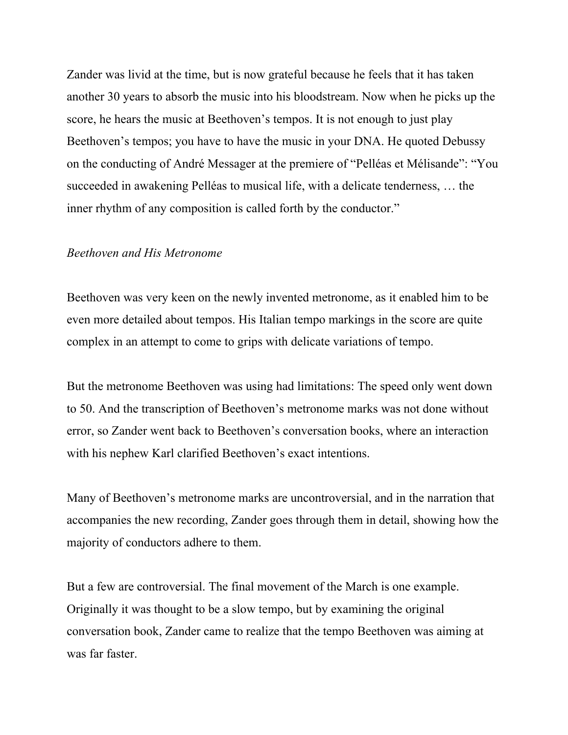Zander was livid at the time, but is now grateful because he feels that it has taken another 30 years to absorb the music into his bloodstream. Now when he picks up the score, he hears the music at Beethoven's tempos. It is not enough to just play Beethoven's tempos; you have to have the music in your DNA. He quoted Debussy on the conducting of André Messager at the premiere of "Pelléas et Mélisande": "You succeeded in awakening Pelléas to musical life, with a delicate tenderness, … the inner rhythm of any composition is called forth by the conductor."

## *Beethoven and His Metronome*

Beethoven was very keen on the newly invented metronome, as it enabled him to be even more detailed about tempos. His Italian tempo markings in the score are quite complex in an attempt to come to grips with delicate variations of tempo.

But the metronome Beethoven was using had limitations: The speed only went down to 50. And the transcription of Beethoven's metronome marks was not done without error, so Zander went back to Beethoven's conversation books, where an interaction with his nephew Karl clarified Beethoven's exact intentions.

Many of Beethoven's metronome marks are uncontroversial, and in the narration that accompanies the new recording, Zander goes through them in detail, showing how the majority of conductors adhere to them.

But a few are controversial. The final movement of the March is one example. Originally it was thought to be a slow tempo, but by examining the original conversation book, Zander came to realize that the tempo Beethoven was aiming at was far faster.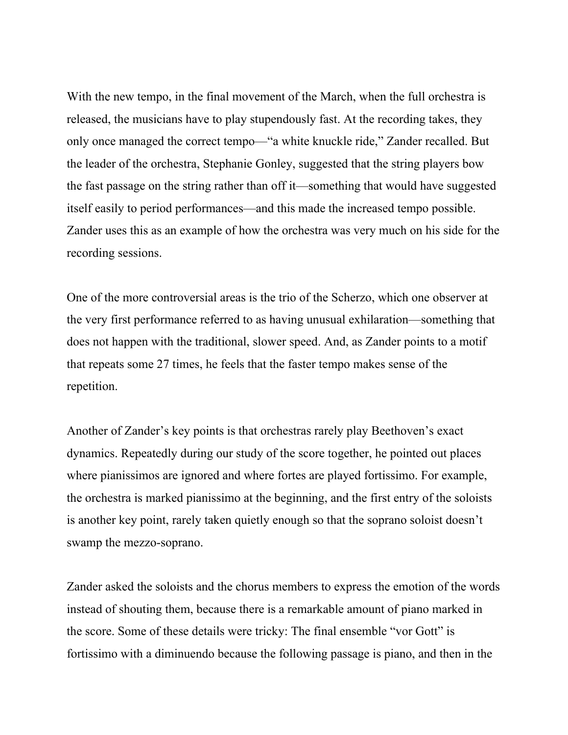With the new tempo, in the final movement of the March, when the full orchestra is released, the musicians have to play stupendously fast. At the recording takes, they only once managed the correct tempo—"a white knuckle ride," Zander recalled. But the leader of the orchestra, Stephanie Gonley, suggested that the string players bow the fast passage on the string rather than off it—something that would have suggested itself easily to period performances—and this made the increased tempo possible. Zander uses this as an example of how the orchestra was very much on his side for the recording sessions.

One of the more controversial areas is the trio of the Scherzo, which one observer at the very first performance referred to as having unusual exhilaration—something that does not happen with the traditional, slower speed. And, as Zander points to a motif that repeats some 27 times, he feels that the faster tempo makes sense of the repetition.

Another of Zander's key points is that orchestras rarely play Beethoven's exact dynamics. Repeatedly during our study of the score together, he pointed out places where pianissimos are ignored and where fortes are played fortissimo. For example, the orchestra is marked pianissimo at the beginning, and the first entry of the soloists is another key point, rarely taken quietly enough so that the soprano soloist doesn't swamp the mezzo-soprano.

Zander asked the soloists and the chorus members to express the emotion of the words instead of shouting them, because there is a remarkable amount of piano marked in the score. Some of these details were tricky: The final ensemble "vor Gott" is fortissimo with a diminuendo because the following passage is piano, and then in the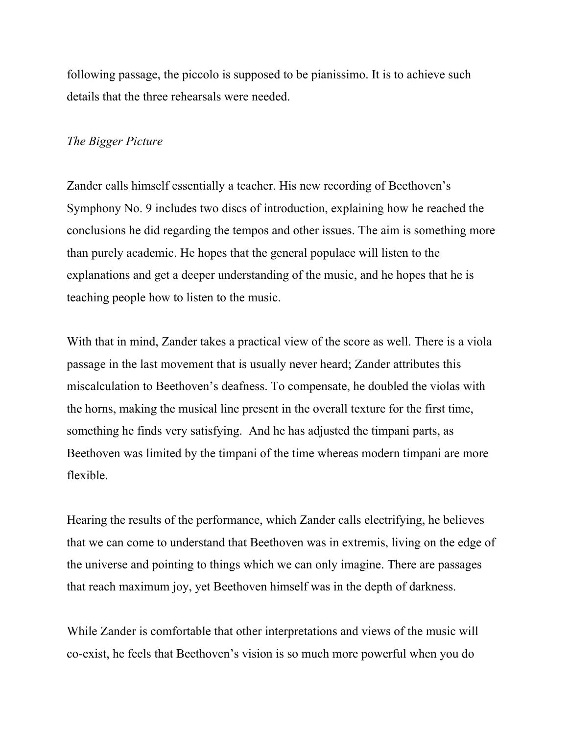following passage, the piccolo is supposed to be pianissimo. It is to achieve such details that the three rehearsals were needed.

# *The Bigger Picture*

Zander calls himself essentially a teacher. His new recording of Beethoven's Symphony No. 9 includes two discs of introduction, explaining how he reached the conclusions he did regarding the tempos and other issues. The aim is something more than purely academic. He hopes that the general populace will listen to the explanations and get a deeper understanding of the music, and he hopes that he is teaching people how to listen to the music.

With that in mind, Zander takes a practical view of the score as well. There is a viola passage in the last movement that is usually never heard; Zander attributes this miscalculation to Beethoven's deafness. To compensate, he doubled the violas with the horns, making the musical line present in the overall texture for the first time, something he finds very satisfying. And he has adjusted the timpani parts, as Beethoven was limited by the timpani of the time whereas modern timpani are more flexible.

Hearing the results of the performance, which Zander calls electrifying, he believes that we can come to understand that Beethoven was in extremis, living on the edge of the universe and pointing to things which we can only imagine. There are passages that reach maximum joy, yet Beethoven himself was in the depth of darkness.

While Zander is comfortable that other interpretations and views of the music will co-exist, he feels that Beethoven's vision is so much more powerful when you do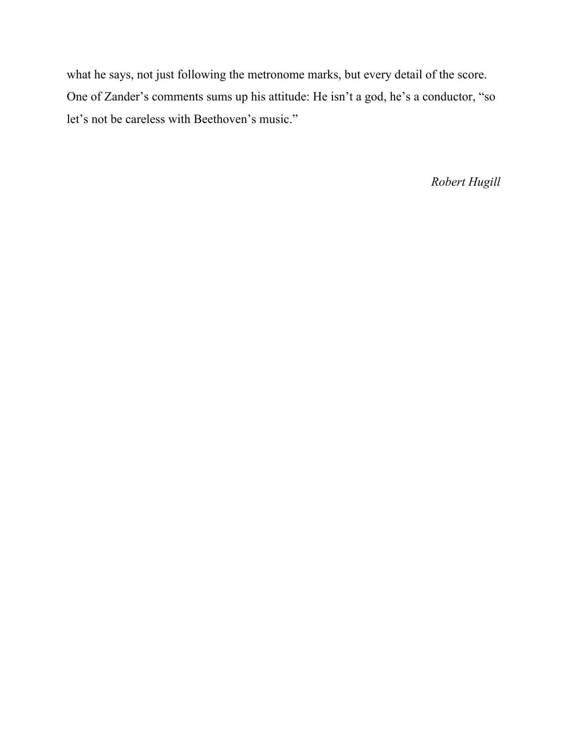what he says, not just following the metronome marks, but every detail of the score. One of Zander's comments sums up his attitude: He isn't a god, he's a conductor, "so let's not be careless with Beethoven's music."

*Robert Hugill*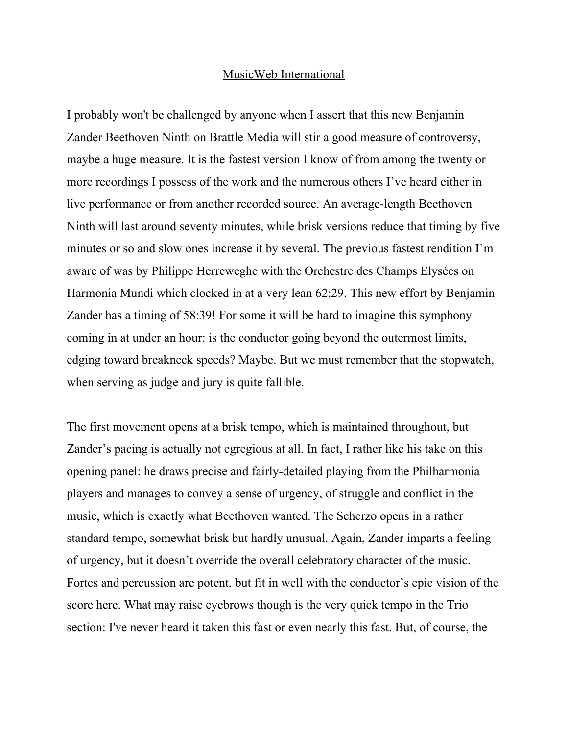#### MusicWeb International

I probably won't be challenged by anyone when I assert that this new Benjamin Zander Beethoven Ninth on Brattle Media will stir a good measure of controversy, maybe a huge measure. It is the fastest version I know of from among the twenty or more recordings I possess of the work and the numerous others I've heard either in live performance or from another recorded source. An average-length Beethoven Ninth will last around seventy minutes, while brisk versions reduce that timing by five minutes or so and slow ones increase it by several. The previous fastest rendition I'm aware of was by Philippe Herreweghe with the Orchestre des Champs Elysées on Harmonia Mundi which clocked in at a very lean 62:29. This new effort by Benjamin Zander has a timing of 58:39! For some it will be hard to imagine this symphony coming in at under an hour: is the conductor going beyond the outermost limits, edging toward breakneck speeds? Maybe. But we must remember that the stopwatch, when serving as judge and jury is quite fallible.

The first movement opens at a brisk tempo, which is maintained throughout, but Zander's pacing is actually not egregious at all. In fact, I rather like his take on this opening panel: he draws precise and fairly-detailed playing from the Philharmonia players and manages to convey a sense of urgency, of struggle and conflict in the music, which is exactly what Beethoven wanted. The Scherzo opens in a rather standard tempo, somewhat brisk but hardly unusual. Again, Zander imparts a feeling of urgency, but it doesn't override the overall celebratory character of the music. Fortes and percussion are potent, but fit in well with the conductor's epic vision of the score here. What may raise eyebrows though is the very quick tempo in the Trio section: I've never heard it taken this fast or even nearly this fast. But, of course, the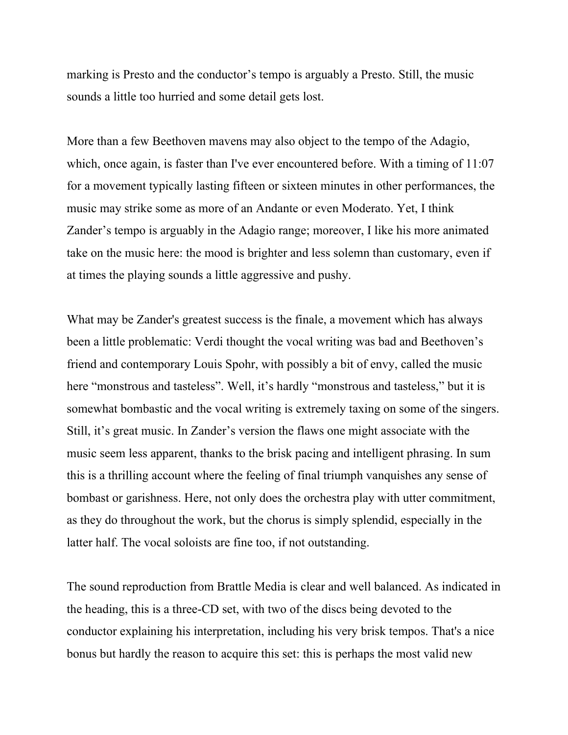marking is Presto and the conductor's tempo is arguably a Presto. Still, the music sounds a little too hurried and some detail gets lost.

More than a few Beethoven mavens may also object to the tempo of the Adagio, which, once again, is faster than I've ever encountered before. With a timing of 11:07 for a movement typically lasting fifteen or sixteen minutes in other performances, the music may strike some as more of an Andante or even Moderato. Yet, I think Zander's tempo is arguably in the Adagio range; moreover, I like his more animated take on the music here: the mood is brighter and less solemn than customary, even if at times the playing sounds a little aggressive and pushy.

What may be Zander's greatest success is the finale, a movement which has always been a little problematic: Verdi thought the vocal writing was bad and Beethoven's friend and contemporary Louis Spohr, with possibly a bit of envy, called the music here "monstrous and tasteless". Well, it's hardly "monstrous and tasteless," but it is somewhat bombastic and the vocal writing is extremely taxing on some of the singers. Still, it's great music. In Zander's version the flaws one might associate with the music seem less apparent, thanks to the brisk pacing and intelligent phrasing. In sum this is a thrilling account where the feeling of final triumph vanquishes any sense of bombast or garishness. Here, not only does the orchestra play with utter commitment, as they do throughout the work, but the chorus is simply splendid, especially in the latter half. The vocal soloists are fine too, if not outstanding.

The sound reproduction from Brattle Media is clear and well balanced. As indicated in the heading, this is a three-CD set, with two of the discs being devoted to the conductor explaining his interpretation, including his very brisk tempos. That's a nice bonus but hardly the reason to acquire this set: this is perhaps the most valid new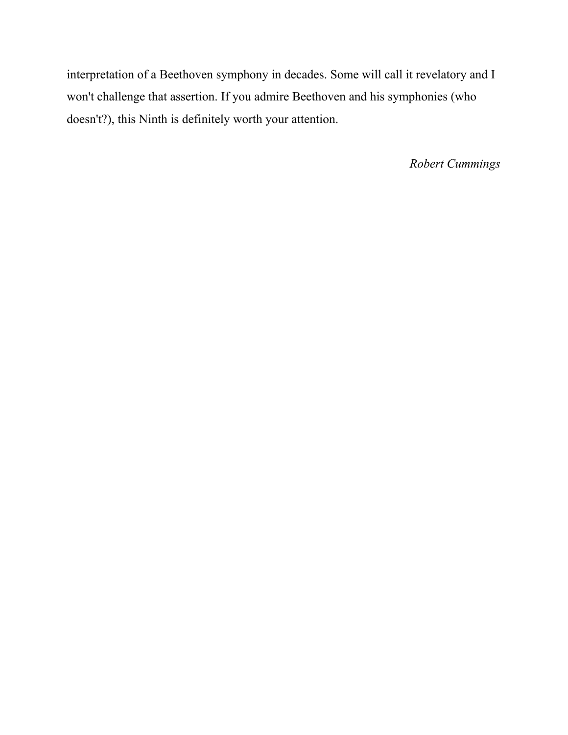interpretation of a Beethoven symphony in decades. Some will call it revelatory and I won't challenge that assertion. If you admire Beethoven and his symphonies (who doesn't?), this Ninth is definitely worth your attention.

*Robert Cummings*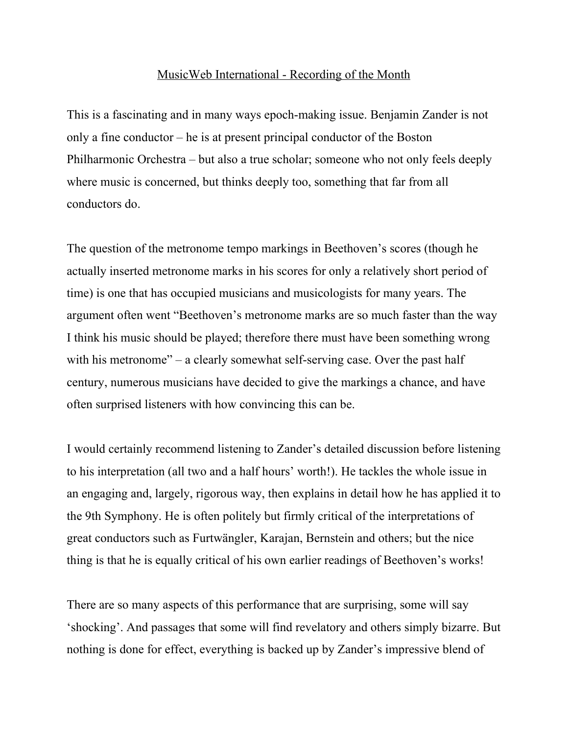#### MusicWeb International - Recording of the Month

This is a fascinating and in many ways epoch-making issue. Benjamin Zander is not only a fine conductor – he is at present principal conductor of the Boston Philharmonic Orchestra – but also a true scholar; someone who not only feels deeply where music is concerned, but thinks deeply too, something that far from all conductors do.

The question of the metronome tempo markings in Beethoven's scores (though he actually inserted metronome marks in his scores for only a relatively short period of time) is one that has occupied musicians and musicologists for many years. The argument often went "Beethoven's metronome marks are so much faster than the way I think his music should be played; therefore there must have been something wrong with his metronome" – a clearly somewhat self-serving case. Over the past half century, numerous musicians have decided to give the markings a chance, and have often surprised listeners with how convincing this can be.

I would certainly recommend listening to Zander's detailed discussion before listening to his interpretation (all two and a half hours' worth!). He tackles the whole issue in an engaging and, largely, rigorous way, then explains in detail how he has applied it to the 9th Symphony. He is often politely but firmly critical of the interpretations of great conductors such as Furtwängler, Karajan, Bernstein and others; but the nice thing is that he is equally critical of his own earlier readings of Beethoven's works!

There are so many aspects of this performance that are surprising, some will say 'shocking'. And passages that some will find revelatory and others simply bizarre. But nothing is done for effect, everything is backed up by Zander's impressive blend of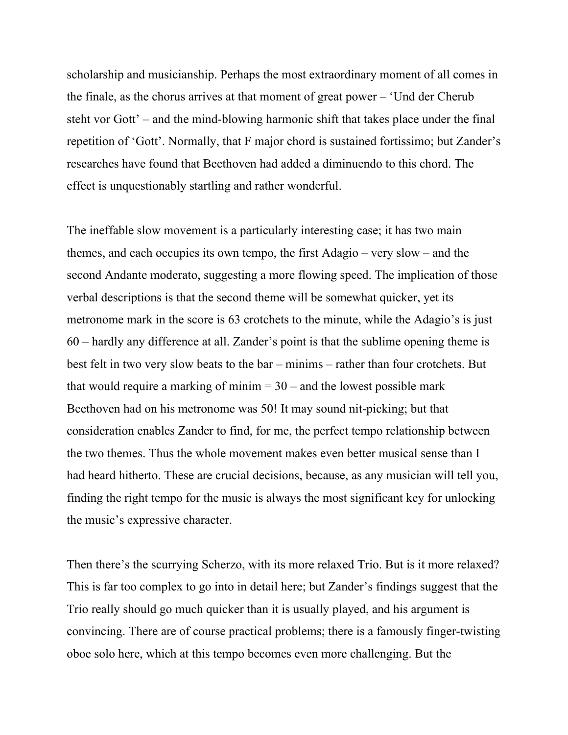scholarship and musicianship. Perhaps the most extraordinary moment of all comes in the finale, as the chorus arrives at that moment of great power – 'Und der Cherub steht vor Gott' – and the mind-blowing harmonic shift that takes place under the final repetition of 'Gott'. Normally, that F major chord is sustained fortissimo; but Zander's researches have found that Beethoven had added a diminuendo to this chord. The effect is unquestionably startling and rather wonderful.

The ineffable slow movement is a particularly interesting case; it has two main themes, and each occupies its own tempo, the first Adagio – very slow – and the second Andante moderato, suggesting a more flowing speed. The implication of those verbal descriptions is that the second theme will be somewhat quicker, yet its metronome mark in the score is 63 crotchets to the minute, while the Adagio's is just 60 – hardly any difference at all. Zander's point is that the sublime opening theme is best felt in two very slow beats to the bar – minims – rather than four crotchets. But that would require a marking of minim  $= 30 -$  and the lowest possible mark Beethoven had on his metronome was 50! It may sound nit-picking; but that consideration enables Zander to find, for me, the perfect tempo relationship between the two themes. Thus the whole movement makes even better musical sense than I had heard hitherto. These are crucial decisions, because, as any musician will tell you, finding the right tempo for the music is always the most significant key for unlocking the music's expressive character.

Then there's the scurrying Scherzo, with its more relaxed Trio. But is it more relaxed? This is far too complex to go into in detail here; but Zander's findings suggest that the Trio really should go much quicker than it is usually played, and his argument is convincing. There are of course practical problems; there is a famously finger-twisting oboe solo here, which at this tempo becomes even more challenging. But the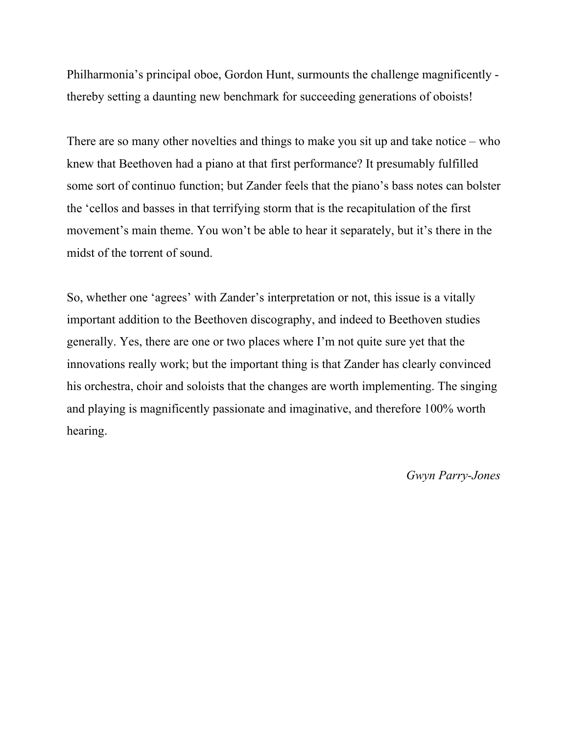Philharmonia's principal oboe, Gordon Hunt, surmounts the challenge magnificently thereby setting a daunting new benchmark for succeeding generations of oboists!

There are so many other novelties and things to make you sit up and take notice – who knew that Beethoven had a piano at that first performance? It presumably fulfilled some sort of continuo function; but Zander feels that the piano's bass notes can bolster the 'cellos and basses in that terrifying storm that is the recapitulation of the first movement's main theme. You won't be able to hear it separately, but it's there in the midst of the torrent of sound.

So, whether one 'agrees' with Zander's interpretation or not, this issue is a vitally important addition to the Beethoven discography, and indeed to Beethoven studies generally. Yes, there are one or two places where I'm not quite sure yet that the innovations really work; but the important thing is that Zander has clearly convinced his orchestra, choir and soloists that the changes are worth implementing. The singing and playing is magnificently passionate and imaginative, and therefore 100% worth hearing.

*Gwyn Parry-Jones*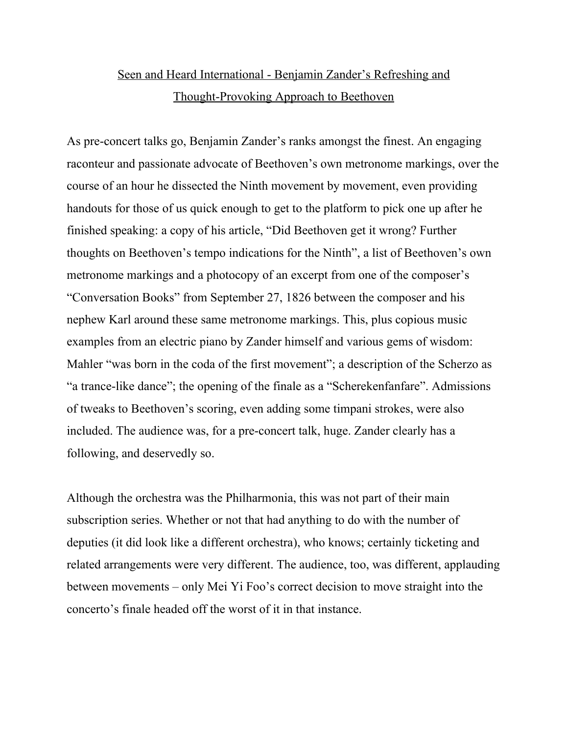# Seen and Heard International - Benjamin Zander's Refreshing and Thought-Provoking Approach to Beethoven

As pre-concert talks go, Benjamin Zander's ranks amongst the finest. An engaging raconteur and passionate advocate of Beethoven's own metronome markings, over the course of an hour he dissected the Ninth movement by movement, even providing handouts for those of us quick enough to get to the platform to pick one up after he finished speaking: a copy of his article, "Did Beethoven get it wrong? Further thoughts on Beethoven's tempo indications for the Ninth", a list of Beethoven's own metronome markings and a photocopy of an excerpt from one of the composer's "Conversation Books" from September 27, 1826 between the composer and his nephew Karl around these same metronome markings. This, plus copious music examples from an electric piano by Zander himself and various gems of wisdom: Mahler "was born in the coda of the first movement"; a description of the Scherzo as "a trance-like dance"; the opening of the finale as a "Scherekenfanfare". Admissions of tweaks to Beethoven's scoring, even adding some timpani strokes, were also included. The audience was, for a pre-concert talk, huge. Zander clearly has a following, and deservedly so.

Although the orchestra was the Philharmonia, this was not part of their main subscription series. Whether or not that had anything to do with the number of deputies (it did look like a different orchestra), who knows; certainly ticketing and related arrangements were very different. The audience, too, was different, applauding between movements – only Mei Yi Foo's correct decision to move straight into the concerto's finale headed off the worst of it in that instance.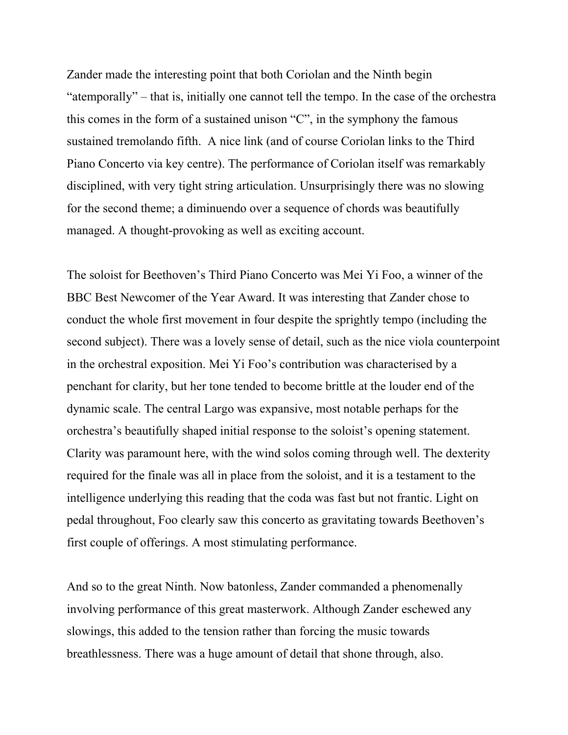Zander made the interesting point that both Coriolan and the Ninth begin "atemporally" – that is, initially one cannot tell the tempo. In the case of the orchestra this comes in the form of a sustained unison "C", in the symphony the famous sustained tremolando fifth. A nice link (and of course Coriolan links to the Third Piano Concerto via key centre). The performance of Coriolan itself was remarkably disciplined, with very tight string articulation. Unsurprisingly there was no slowing for the second theme; a diminuendo over a sequence of chords was beautifully managed. A thought-provoking as well as exciting account.

The soloist for Beethoven's Third Piano Concerto was Mei Yi Foo, a winner of the BBC Best Newcomer of the Year Award. It was interesting that Zander chose to conduct the whole first movement in four despite the sprightly tempo (including the second subject). There was a lovely sense of detail, such as the nice viola counterpoint in the orchestral exposition. Mei Yi Foo's contribution was characterised by a penchant for clarity, but her tone tended to become brittle at the louder end of the dynamic scale. The central Largo was expansive, most notable perhaps for the orchestra's beautifully shaped initial response to the soloist's opening statement. Clarity was paramount here, with the wind solos coming through well. The dexterity required for the finale was all in place from the soloist, and it is a testament to the intelligence underlying this reading that the coda was fast but not frantic. Light on pedal throughout, Foo clearly saw this concerto as gravitating towards Beethoven's first couple of offerings. A most stimulating performance.

And so to the great Ninth. Now batonless, Zander commanded a phenomenally involving performance of this great masterwork. Although Zander eschewed any slowings, this added to the tension rather than forcing the music towards breathlessness. There was a huge amount of detail that shone through, also.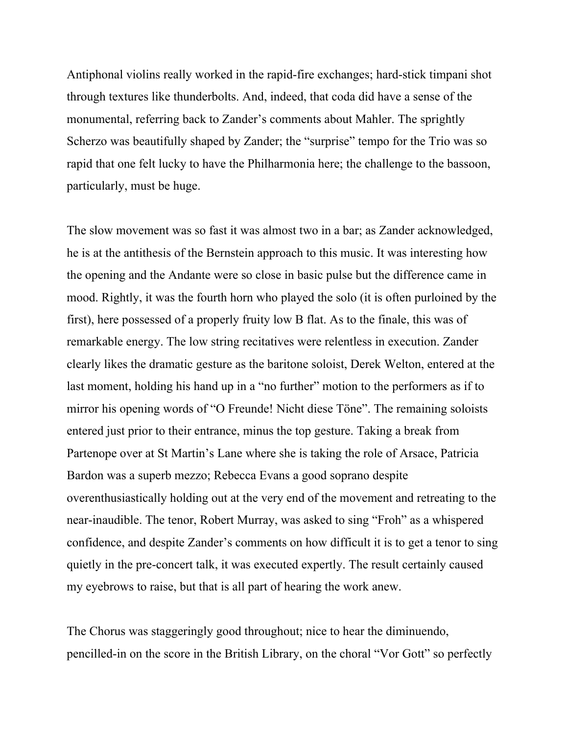Antiphonal violins really worked in the rapid-fire exchanges; hard-stick timpani shot through textures like thunderbolts. And, indeed, that coda did have a sense of the monumental, referring back to Zander's comments about Mahler. The sprightly Scherzo was beautifully shaped by Zander; the "surprise" tempo for the Trio was so rapid that one felt lucky to have the Philharmonia here; the challenge to the bassoon, particularly, must be huge.

The slow movement was so fast it was almost two in a bar; as Zander acknowledged, he is at the antithesis of the Bernstein approach to this music. It was interesting how the opening and the Andante were so close in basic pulse but the difference came in mood. Rightly, it was the fourth horn who played the solo (it is often purloined by the first), here possessed of a properly fruity low B flat. As to the finale, this was of remarkable energy. The low string recitatives were relentless in execution. Zander clearly likes the dramatic gesture as the baritone soloist, Derek Welton, entered at the last moment, holding his hand up in a "no further" motion to the performers as if to mirror his opening words of "O Freunde! Nicht diese Töne". The remaining soloists entered just prior to their entrance, minus the top gesture. Taking a break from Partenope over at St Martin's Lane where she is taking the role of Arsace, Patricia Bardon was a superb mezzo; Rebecca Evans a good soprano despite overenthusiastically holding out at the very end of the movement and retreating to the near-inaudible. The tenor, Robert Murray, was asked to sing "Froh" as a whispered confidence, and despite Zander's comments on how difficult it is to get a tenor to sing quietly in the pre-concert talk, it was executed expertly. The result certainly caused my eyebrows to raise, but that is all part of hearing the work anew.

The Chorus was staggeringly good throughout; nice to hear the diminuendo, pencilled-in on the score in the British Library, on the choral "Vor Gott" so perfectly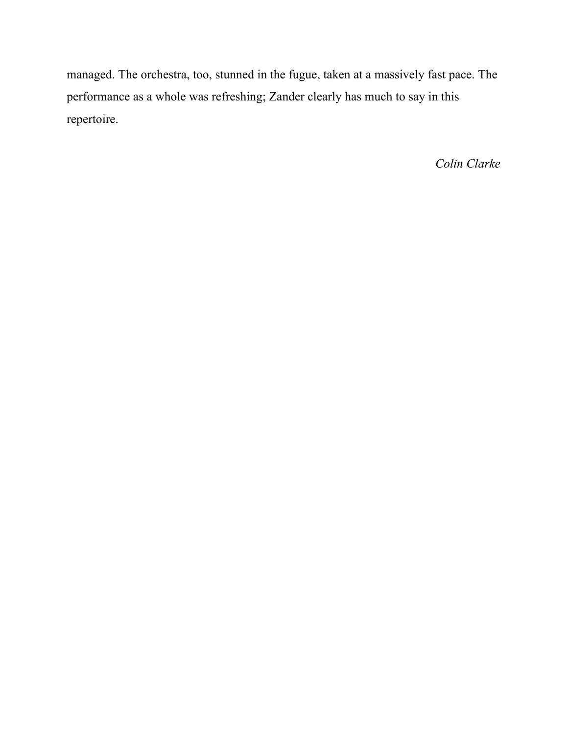managed. The orchestra, too, stunned in the fugue, taken at a massively fast pace. The performance as a whole was refreshing; Zander clearly has much to say in this repertoire.

*Colin Clarke*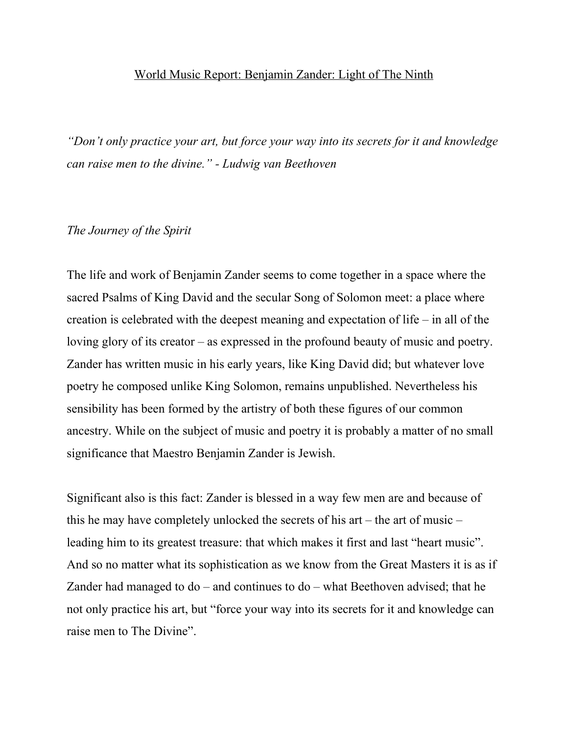## World Music Report: Benjamin Zander: Light of The Ninth

*"Don't only practice your art, but force your way into its secrets for it and knowledge can raise men to the divine." - Ludwig van Beethoven*

## *The Journey of the Spirit*

The life and work of Benjamin Zander seems to come together in a space where the sacred Psalms of King David and the secular Song of Solomon meet: a place where creation is celebrated with the deepest meaning and expectation of life – in all of the loving glory of its creator – as expressed in the profound beauty of music and poetry. Zander has written music in his early years, like King David did; but whatever love poetry he composed unlike King Solomon, remains unpublished. Nevertheless his sensibility has been formed by the artistry of both these figures of our common ancestry. While on the subject of music and poetry it is probably a matter of no small significance that Maestro Benjamin Zander is Jewish.

Significant also is this fact: Zander is blessed in a way few men are and because of this he may have completely unlocked the secrets of his art – the art of music – leading him to its greatest treasure: that which makes it first and last "heart music". And so no matter what its sophistication as we know from the Great Masters it is as if Zander had managed to do – and continues to do – what Beethoven advised; that he not only practice his art, but "force your way into its secrets for it and knowledge can raise men to The Divine".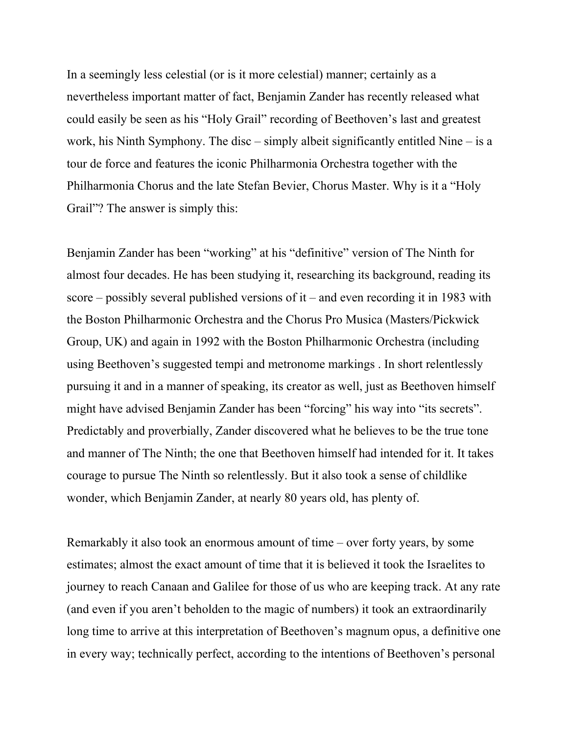In a seemingly less celestial (or is it more celestial) manner; certainly as a nevertheless important matter of fact, Benjamin Zander has recently released what could easily be seen as his "Holy Grail" recording of Beethoven's last and greatest work, his Ninth Symphony. The disc – simply albeit significantly entitled Nine – is a tour de force and features the iconic Philharmonia Orchestra together with the Philharmonia Chorus and the late Stefan Bevier, Chorus Master. Why is it a "Holy Grail"? The answer is simply this:

Benjamin Zander has been "working" at his "definitive" version of The Ninth for almost four decades. He has been studying it, researching its background, reading its score – possibly several published versions of it – and even recording it in 1983 with the Boston Philharmonic Orchestra and the Chorus Pro Musica (Masters/Pickwick Group, UK) and again in 1992 with the Boston Philharmonic Orchestra (including using Beethoven's suggested tempi and metronome markings . In short relentlessly pursuing it and in a manner of speaking, its creator as well, just as Beethoven himself might have advised Benjamin Zander has been "forcing" his way into "its secrets". Predictably and proverbially, Zander discovered what he believes to be the true tone and manner of The Ninth; the one that Beethoven himself had intended for it. It takes courage to pursue The Ninth so relentlessly. But it also took a sense of childlike wonder, which Benjamin Zander, at nearly 80 years old, has plenty of.

Remarkably it also took an enormous amount of time – over forty years, by some estimates; almost the exact amount of time that it is believed it took the Israelites to journey to reach Canaan and Galilee for those of us who are keeping track. At any rate (and even if you aren't beholden to the magic of numbers) it took an extraordinarily long time to arrive at this interpretation of Beethoven's magnum opus, a definitive one in every way; technically perfect, according to the intentions of Beethoven's personal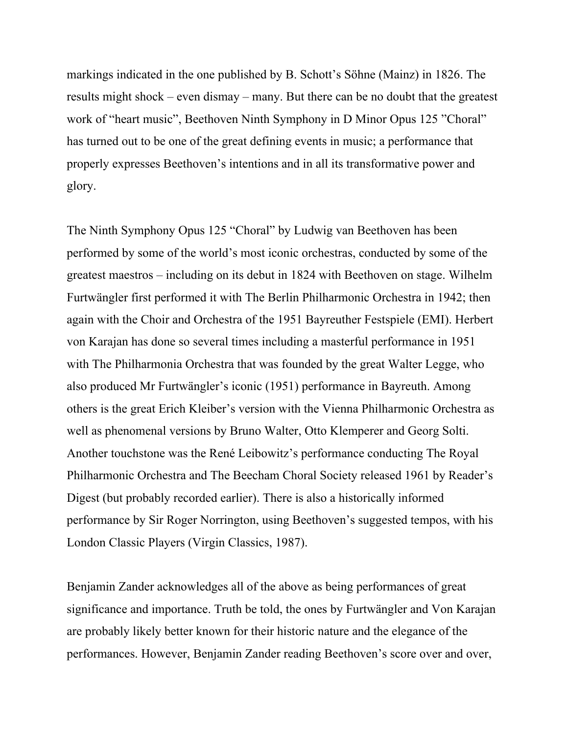markings indicated in the one published by B. Schott's Söhne (Mainz) in 1826. The results might shock – even dismay – many. But there can be no doubt that the greatest work of "heart music", Beethoven Ninth Symphony in D Minor Opus 125 "Choral" has turned out to be one of the great defining events in music; a performance that properly expresses Beethoven's intentions and in all its transformative power and glory.

The Ninth Symphony Opus 125 "Choral" by Ludwig van Beethoven has been performed by some of the world's most iconic orchestras, conducted by some of the greatest maestros – including on its debut in 1824 with Beethoven on stage. Wilhelm Furtwängler first performed it with The Berlin Philharmonic Orchestra in 1942; then again with the Choir and Orchestra of the 1951 Bayreuther Festspiele (EMI). Herbert von Karajan has done so several times including a masterful performance in 1951 with The Philharmonia Orchestra that was founded by the great Walter Legge, who also produced Mr Furtwängler's iconic (1951) performance in Bayreuth. Among others is the great Erich Kleiber's version with the Vienna Philharmonic Orchestra as well as phenomenal versions by Bruno Walter, Otto Klemperer and Georg Solti. Another touchstone was the René Leibowitz's performance conducting The Royal Philharmonic Orchestra and The Beecham Choral Society released 1961 by Reader's Digest (but probably recorded earlier). There is also a historically informed performance by Sir Roger Norrington, using Beethoven's suggested tempos, with his London Classic Players (Virgin Classics, 1987).

Benjamin Zander acknowledges all of the above as being performances of great significance and importance. Truth be told, the ones by Furtwängler and Von Karajan are probably likely better known for their historic nature and the elegance of the performances. However, Benjamin Zander reading Beethoven's score over and over,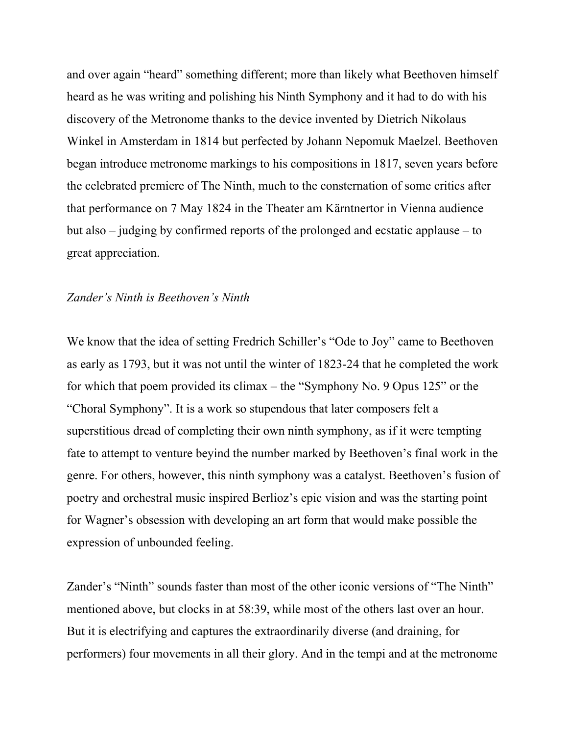and over again "heard" something different; more than likely what Beethoven himself heard as he was writing and polishing his Ninth Symphony and it had to do with his discovery of the Metronome thanks to the device invented by Dietrich Nikolaus Winkel in Amsterdam in 1814 but perfected by Johann Nepomuk Maelzel. Beethoven began introduce metronome markings to his compositions in 1817, seven years before the celebrated premiere of The Ninth, much to the consternation of some critics after that performance on 7 May 1824 in the Theater am Kärntnertor in Vienna audience but also – judging by confirmed reports of the prolonged and ecstatic applause – to great appreciation.

# *Zander's Ninth is Beethoven's Ninth*

We know that the idea of setting Fredrich Schiller's "Ode to Joy" came to Beethoven as early as 1793, but it was not until the winter of 1823-24 that he completed the work for which that poem provided its climax – the "Symphony No. 9 Opus 125" or the "Choral Symphony". It is a work so stupendous that later composers felt a superstitious dread of completing their own ninth symphony, as if it were tempting fate to attempt to venture beyind the number marked by Beethoven's final work in the genre. For others, however, this ninth symphony was a catalyst. Beethoven's fusion of poetry and orchestral music inspired Berlioz's epic vision and was the starting point for Wagner's obsession with developing an art form that would make possible the expression of unbounded feeling.

Zander's "Ninth" sounds faster than most of the other iconic versions of "The Ninth" mentioned above, but clocks in at 58:39, while most of the others last over an hour. But it is electrifying and captures the extraordinarily diverse (and draining, for performers) four movements in all their glory. And in the tempi and at the metronome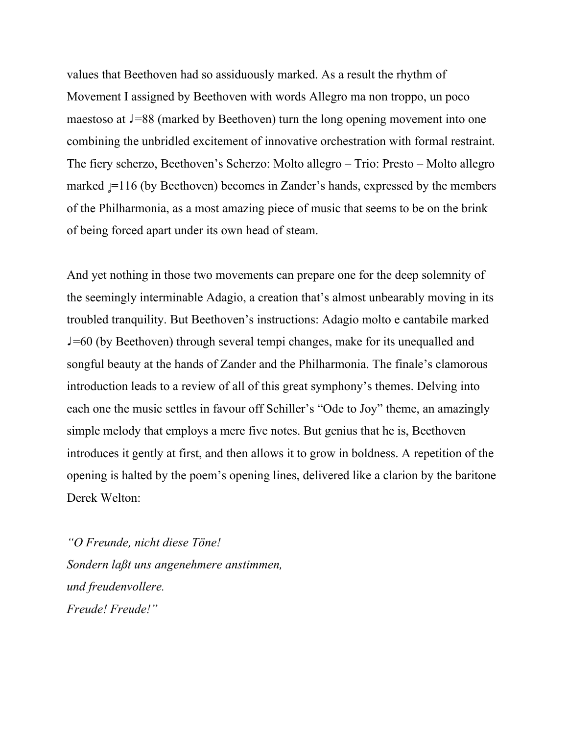values that Beethoven had so assiduously marked. As a result the rhythm of Movement I assigned by Beethoven with words Allegro ma non troppo, un poco maestoso at J=88 (marked by Beethoven) turn the long opening movement into one combining the unbridled excitement of innovative orchestration with formal restraint. The fiery scherzo, Beethoven's Scherzo: Molto allegro – Trio: Presto – Molto allegro marked  $=116$  (by Beethoven) becomes in Zander's hands, expressed by the members of the Philharmonia, as a most amazing piece of music that seems to be on the brink of being forced apart under its own head of steam.

And yet nothing in those two movements can prepare one for the deep solemnity of the seemingly interminable Adagio, a creation that's almost unbearably moving in its troubled tranquility. But Beethoven's instructions: Adagio molto e cantabile marked ♩=60 (by Beethoven) through several tempi changes, make for its unequalled and songful beauty at the hands of Zander and the Philharmonia. The finale's clamorous introduction leads to a review of all of this great symphony's themes. Delving into each one the music settles in favour off Schiller's "Ode to Joy" theme, an amazingly simple melody that employs a mere five notes. But genius that he is, Beethoven introduces it gently at first, and then allows it to grow in boldness. A repetition of the opening is halted by the poem's opening lines, delivered like a clarion by the baritone Derek Welton:

*"O Freunde, nicht diese Töne! Sondern laßt uns angenehmere anstimmen, und freudenvollere. Freude! Freude!"*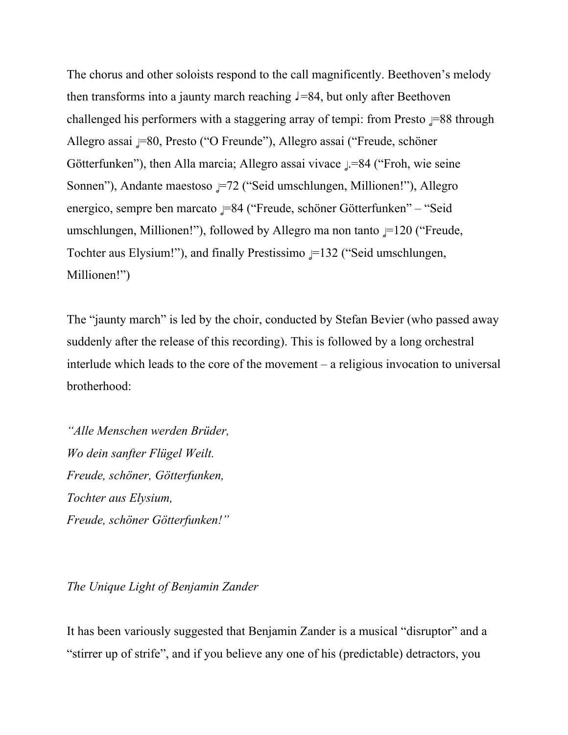The chorus and other soloists respond to the call magnificently. Beethoven's melody then transforms into a jaunty march reaching ♩=84, but only after Beethoven challenged his performers with a staggering array of tempi: from Presto  $=88$  through Allegro assai  $=80$ , Presto ("O Freunde"), Allegro assai ("Freude, schöner Götterfunken"), then Alla marcia; Allegro assai vivace  $\pm 84$  ("Froh, wie seine Sonnen"), Andante maestoso  $=72$  ("Seid umschlungen, Millionen!"), Allegro energico, sempre ben marcato = 84 ("Freude, schöner Götterfunken" – "Seid umschlungen, Millionen!"), followed by Allegro ma non tanto  $\equiv$ 120 ("Freude, Tochter aus Elysium!"), and finally Prestissimo  $=132$  ("Seid umschlungen, Millionen!")

The "jaunty march" is led by the choir, conducted by Stefan Bevier (who passed away suddenly after the release of this recording). This is followed by a long orchestral interlude which leads to the core of the movement – a religious invocation to universal brotherhood:

*"Alle Menschen werden Brüder, Wo dein sanfter Flügel Weilt. Freude, schöner, Götterfunken, Tochter aus Elysium, Freude, schöner Götterfunken!"*

# *The Unique Light of Benjamin Zander*

It has been variously suggested that Benjamin Zander is a musical "disruptor" and a "stirrer up of strife", and if you believe any one of his (predictable) detractors, you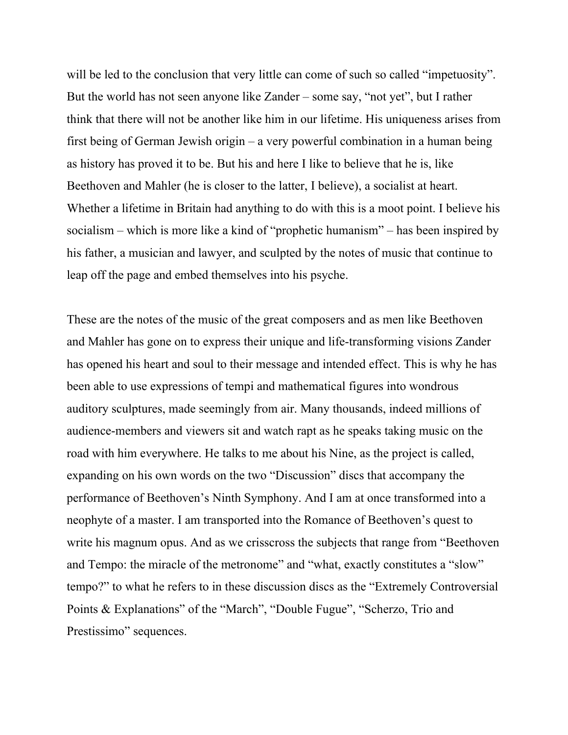will be led to the conclusion that very little can come of such so called "impetuosity". But the world has not seen anyone like Zander – some say, "not yet", but I rather think that there will not be another like him in our lifetime. His uniqueness arises from first being of German Jewish origin – a very powerful combination in a human being as history has proved it to be. But his and here I like to believe that he is, like Beethoven and Mahler (he is closer to the latter, I believe), a socialist at heart. Whether a lifetime in Britain had anything to do with this is a moot point. I believe his socialism – which is more like a kind of "prophetic humanism" – has been inspired by his father, a musician and lawyer, and sculpted by the notes of music that continue to leap off the page and embed themselves into his psyche.

These are the notes of the music of the great composers and as men like Beethoven and Mahler has gone on to express their unique and life-transforming visions Zander has opened his heart and soul to their message and intended effect. This is why he has been able to use expressions of tempi and mathematical figures into wondrous auditory sculptures, made seemingly from air. Many thousands, indeed millions of audience-members and viewers sit and watch rapt as he speaks taking music on the road with him everywhere. He talks to me about his Nine, as the project is called, expanding on his own words on the two "Discussion" discs that accompany the performance of Beethoven's Ninth Symphony. And I am at once transformed into a neophyte of a master. I am transported into the Romance of Beethoven's quest to write his magnum opus. And as we crisscross the subjects that range from "Beethoven and Tempo: the miracle of the metronome" and "what, exactly constitutes a "slow" tempo?" to what he refers to in these discussion discs as the "Extremely Controversial Points & Explanations" of the "March", "Double Fugue", "Scherzo, Trio and Prestissimo" sequences.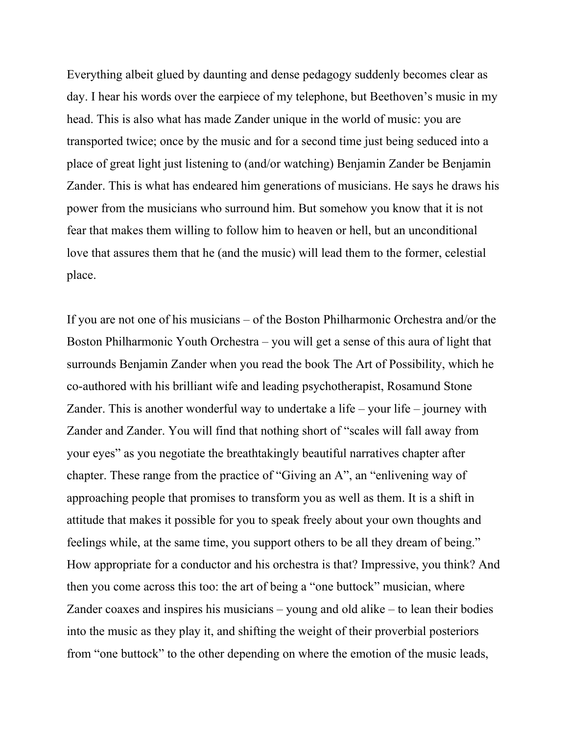Everything albeit glued by daunting and dense pedagogy suddenly becomes clear as day. I hear his words over the earpiece of my telephone, but Beethoven's music in my head. This is also what has made Zander unique in the world of music: you are transported twice; once by the music and for a second time just being seduced into a place of great light just listening to (and/or watching) Benjamin Zander be Benjamin Zander. This is what has endeared him generations of musicians. He says he draws his power from the musicians who surround him. But somehow you know that it is not fear that makes them willing to follow him to heaven or hell, but an unconditional love that assures them that he (and the music) will lead them to the former, celestial place.

If you are not one of his musicians – of the Boston Philharmonic Orchestra and/or the Boston Philharmonic Youth Orchestra – you will get a sense of this aura of light that surrounds Benjamin Zander when you read the book The Art of Possibility, which he co-authored with his brilliant wife and leading psychotherapist, Rosamund Stone Zander. This is another wonderful way to undertake a life – your life – journey with Zander and Zander. You will find that nothing short of "scales will fall away from your eyes" as you negotiate the breathtakingly beautiful narratives chapter after chapter. These range from the practice of "Giving an A", an "enlivening way of approaching people that promises to transform you as well as them. It is a shift in attitude that makes it possible for you to speak freely about your own thoughts and feelings while, at the same time, you support others to be all they dream of being." How appropriate for a conductor and his orchestra is that? Impressive, you think? And then you come across this too: the art of being a "one buttock" musician, where Zander coaxes and inspires his musicians – young and old alike – to lean their bodies into the music as they play it, and shifting the weight of their proverbial posteriors from "one buttock" to the other depending on where the emotion of the music leads,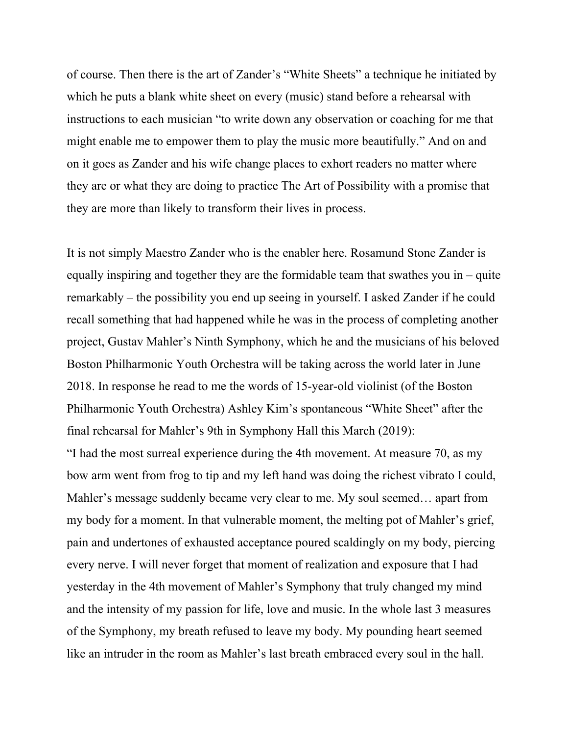of course. Then there is the art of Zander's "White Sheets" a technique he initiated by which he puts a blank white sheet on every (music) stand before a rehearsal with instructions to each musician "to write down any observation or coaching for me that might enable me to empower them to play the music more beautifully." And on and on it goes as Zander and his wife change places to exhort readers no matter where they are or what they are doing to practice The Art of Possibility with a promise that they are more than likely to transform their lives in process.

It is not simply Maestro Zander who is the enabler here. Rosamund Stone Zander is equally inspiring and together they are the formidable team that swathes you in – quite remarkably – the possibility you end up seeing in yourself. I asked Zander if he could recall something that had happened while he was in the process of completing another project, Gustav Mahler's Ninth Symphony, which he and the musicians of his beloved Boston Philharmonic Youth Orchestra will be taking across the world later in June 2018. In response he read to me the words of 15-year-old violinist (of the Boston Philharmonic Youth Orchestra) Ashley Kim's spontaneous "White Sheet" after the final rehearsal for Mahler's 9th in Symphony Hall this March (2019):

"I had the most surreal experience during the 4th movement. At measure 70, as my bow arm went from frog to tip and my left hand was doing the richest vibrato I could, Mahler's message suddenly became very clear to me. My soul seemed… apart from my body for a moment. In that vulnerable moment, the melting pot of Mahler's grief, pain and undertones of exhausted acceptance poured scaldingly on my body, piercing every nerve. I will never forget that moment of realization and exposure that I had yesterday in the 4th movement of Mahler's Symphony that truly changed my mind and the intensity of my passion for life, love and music. In the whole last 3 measures of the Symphony, my breath refused to leave my body. My pounding heart seemed like an intruder in the room as Mahler's last breath embraced every soul in the hall.